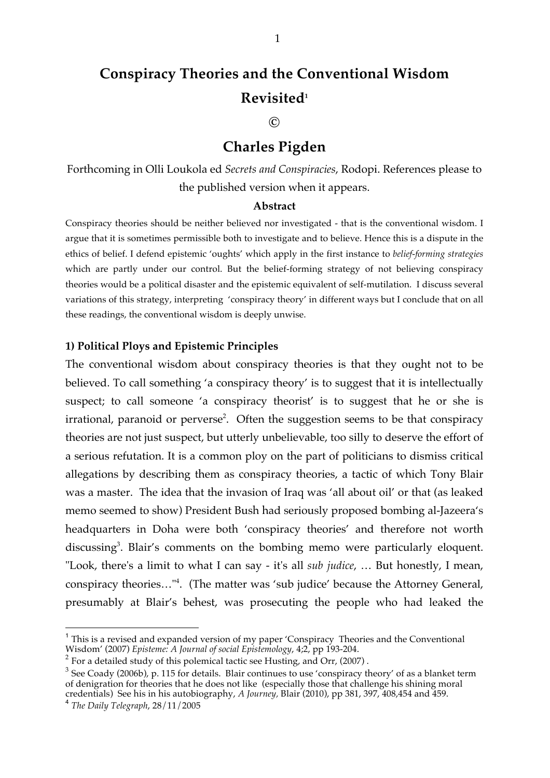# **Conspiracy Theories and the Conventional Wisdom Revisited1**

**©**

# **Charles Pigden**

Forthcoming in Olli Loukola ed *Secrets and Conspiracies*, Rodopi. References please to the published version when it appears.

#### **Abstract**

Conspiracy theories should be neither believed nor investigated - that is the conventional wisdom. I argue that it is sometimes permissible both to investigate and to believe. Hence this is a dispute in the ethics of belief. I defend epistemic 'oughts' which apply in the first instance to *belief-forming strategies* which are partly under our control. But the belief-forming strategy of not believing conspiracy theories would be a political disaster and the epistemic equivalent of self-mutilation. I discuss several variations of this strategy, interpreting 'conspiracy theory' in different ways but I conclude that on all these readings, the conventional wisdom is deeply unwise.

#### **1) Political Ploys and Epistemic Principles**

The conventional wisdom about conspiracy theories is that they ought not to be believed. To call something 'a conspiracy theory' is to suggest that it is intellectually suspect; to call someone 'a conspiracy theorist' is to suggest that he or she is irrational, paranoid or perverse<sup>2</sup>. Often the suggestion seems to be that conspiracy theories are not just suspect, but utterly unbelievable, too silly to deserve the effort of a serious refutation. It is a common ploy on the part of politicians to dismiss critical allegations by describing them as conspiracy theories, a tactic of which Tony Blair was a master. The idea that the invasion of Iraq was 'all about oil' or that (as leaked memo seemed to show) President Bush had seriously proposed bombing al-Jazeera's headquarters in Doha were both 'conspiracy theories' and therefore not worth discussing<sup>3</sup>. Blair's comments on the bombing memo were particularly eloquent. "Look, there's a limit to what I can say - it's all *sub judice*, … But honestly, I mean, conspiracy theories…"4 . (The matter was 'sub judice' because the Attorney General, presumably at Blair's behest, was prosecuting the people who had leaked the

<sup>&</sup>lt;sup>1</sup> This is a revised and expanded version of my paper 'Conspiracy Theories and the Conventional Wisdom' (2007) *Episteme: A Journal of social Epistemology*, 4;2, pp 193-204.

 $^2$  For a detailed study of this polemical tactic see Husting, and Orr, (2007) .

 $3$  See Coady (2006b), p. 115 for details. Blair continues to use 'conspiracy theory' of as a blanket term of denigration for theories that he does not like (especially those that challenge his shining moral credentials) See his in his autobiography, *A Journey,* Blair (2010), pp 381, 397, 408,454 and 459.

<sup>4</sup> *The Daily Telegraph*, 28/11/2005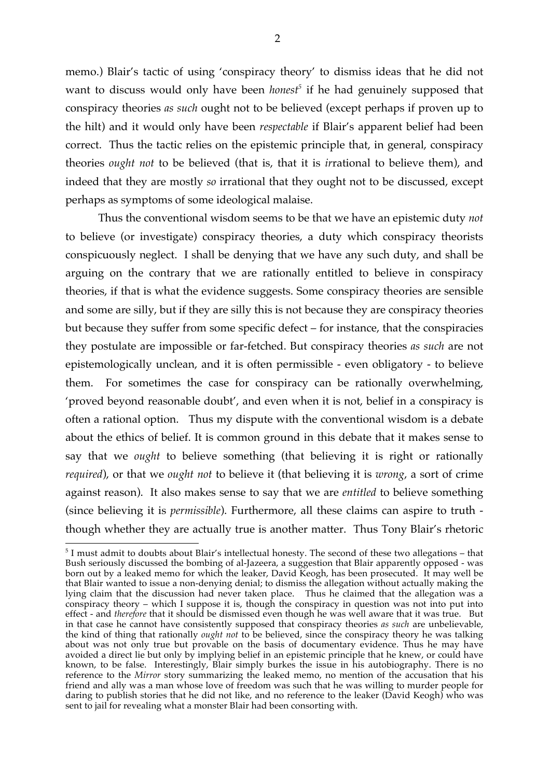memo.) Blair's tactic of using 'conspiracy theory' to dismiss ideas that he did not want to discuss would only have been *honest<sup>5</sup>* if he had genuinely supposed that conspiracy theories *as such* ought not to be believed (except perhaps if proven up to the hilt) and it would only have been *respectable* if Blair's apparent belief had been correct. Thus the tactic relies on the epistemic principle that, in general, conspiracy theories *ought not* to be believed (that is, that it is *ir*rational to believe them), and indeed that they are mostly *so* irrational that they ought not to be discussed, except perhaps as symptoms of some ideological malaise.

Thus the conventional wisdom seems to be that we have an epistemic duty *not*  to believe (or investigate) conspiracy theories, a duty which conspiracy theorists conspicuously neglect. I shall be denying that we have any such duty, and shall be arguing on the contrary that we are rationally entitled to believe in conspiracy theories, if that is what the evidence suggests. Some conspiracy theories are sensible and some are silly, but if they are silly this is not because they are conspiracy theories but because they suffer from some specific defect – for instance, that the conspiracies they postulate are impossible or far-fetched. But conspiracy theories *as such* are not epistemologically unclean, and it is often permissible - even obligatory - to believe them. For sometimes the case for conspiracy can be rationally overwhelming, 'proved beyond reasonable doubt', and even when it is not, belief in a conspiracy is often a rational option. Thus my dispute with the conventional wisdom is a debate about the ethics of belief. It is common ground in this debate that it makes sense to say that we *ought* to believe something (that believing it is right or rationally *required*), or that we *ought not* to believe it (that believing it is *wrong*, a sort of crime against reason). It also makes sense to say that we are *entitled* to believe something (since believing it is *permissible*). Furthermore, all these claims can aspire to truth though whether they are actually true is another matter. Thus Tony Blair's rhetoric

 <sup>5</sup> I must admit to doubts about Blair's intellectual honesty. The second of these two allegations – that Bush seriously discussed the bombing of al-Jazeera, a suggestion that Blair apparently opposed - was born out by a leaked memo for which the leaker, David Keogh, has been prosecuted. It may well be that Blair wanted to issue a non-denying denial; to dismiss the allegation without actually making the lying claim that the discussion had never taken place. Thus he claimed that the allegation was a conspiracy theory – which I suppose it is, though the conspiracy in question was not into put into effect - and *therefore* that it should be dismissed even though he was well aware that it was true. But in that case he cannot have consistently supposed that conspiracy theories *as such* are unbelievable, the kind of thing that rationally *ought not* to be believed, since the conspiracy theory he was talking about was not only true but provable on the basis of documentary evidence. Thus he may have avoided a direct lie but only by implying belief in an epistemic principle that he knew, or could have known, to be false. Interestingly, Blair simply burkes the issue in his autobiography. There is no reference to the *Mirror* story summarizing the leaked memo, no mention of the accusation that his friend and ally was a man whose love of freedom was such that he was willing to murder people for daring to publish stories that he did not like, and no reference to the leaker (David Keogh) who was sent to jail for revealing what a monster Blair had been consorting with.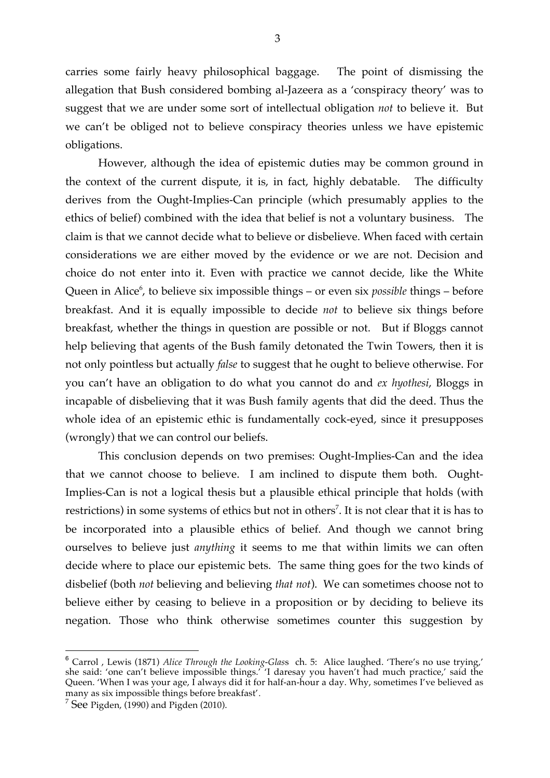carries some fairly heavy philosophical baggage. The point of dismissing the allegation that Bush considered bombing al-Jazeera as a 'conspiracy theory' was to suggest that we are under some sort of intellectual obligation *not* to believe it. But we can't be obliged not to believe conspiracy theories unless we have epistemic obligations.

However, although the idea of epistemic duties may be common ground in the context of the current dispute, it is, in fact, highly debatable. The difficulty derives from the Ought-Implies-Can principle (which presumably applies to the ethics of belief) combined with the idea that belief is not a voluntary business. The claim is that we cannot decide what to believe or disbelieve. When faced with certain considerations we are either moved by the evidence or we are not. Decision and choice do not enter into it. Even with practice we cannot decide, like the White Queen in Alice<sup>6</sup>, to believe six impossible things – or even six *possible* things – before breakfast. And it is equally impossible to decide *not* to believe six things before breakfast, whether the things in question are possible or not. But if Bloggs cannot help believing that agents of the Bush family detonated the Twin Towers, then it is not only pointless but actually *false* to suggest that he ought to believe otherwise. For you can't have an obligation to do what you cannot do and *ex hyothesi*, Bloggs in incapable of disbelieving that it was Bush family agents that did the deed. Thus the whole idea of an epistemic ethic is fundamentally cock-eyed, since it presupposes (wrongly) that we can control our beliefs.

This conclusion depends on two premises: Ought-Implies-Can and the idea that we cannot choose to believe. I am inclined to dispute them both. Ought-Implies-Can is not a logical thesis but a plausible ethical principle that holds (with restrictions) in some systems of ethics but not in others<sup>7</sup>. It is not clear that it is has to be incorporated into a plausible ethics of belief. And though we cannot bring ourselves to believe just *anything* it seems to me that within limits we can often decide where to place our epistemic bets. The same thing goes for the two kinds of disbelief (both *not* believing and believing *that not*). We can sometimes choose not to believe either by ceasing to believe in a proposition or by deciding to believe its negation. Those who think otherwise sometimes counter this suggestion by

<sup>6</sup> Carrol , Lewis (1871) *Alice Through the Looking-Glas*s ch. 5: Alice laughed. 'There's no use trying,' she said: 'one can't believe impossible things.' 'I daresay you haven't had much practice,' said the Queen. 'When I was your age, I always did it for half-an-hour a day. Why, sometimes I've believed as many as six impossible things before breakfast'.<br><sup>7</sup> See Pigden, (1990) and Pigden (2010).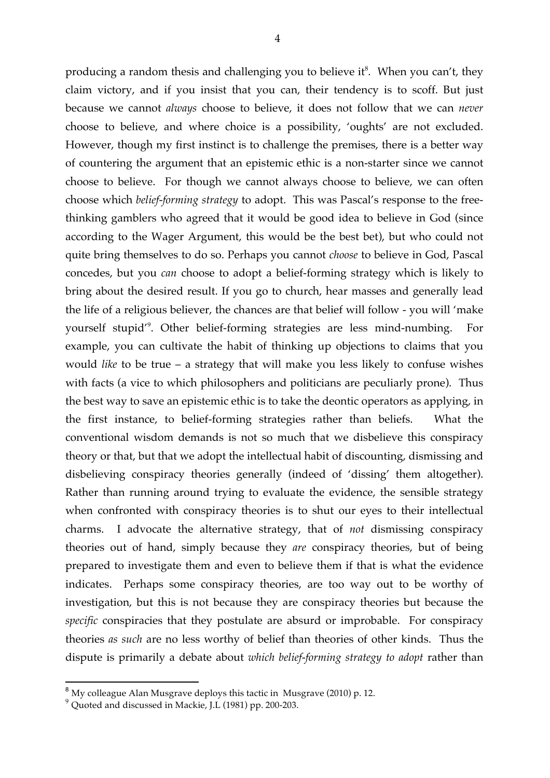producing a random thesis and challenging you to believe it $\delta$ . When you can't, they claim victory, and if you insist that you can, their tendency is to scoff. But just because we cannot *always* choose to believe, it does not follow that we can *never* choose to believe, and where choice is a possibility, 'oughts' are not excluded. However, though my first instinct is to challenge the premises, there is a better way of countering the argument that an epistemic ethic is a non-starter since we cannot choose to believe. For though we cannot always choose to believe, we can often choose which *belief-forming strategy* to adopt. This was Pascal's response to the freethinking gamblers who agreed that it would be good idea to believe in God (since according to the Wager Argument, this would be the best bet), but who could not quite bring themselves to do so. Perhaps you cannot *choose* to believe in God, Pascal concedes, but you *can* choose to adopt a belief-forming strategy which is likely to bring about the desired result. If you go to church, hear masses and generally lead the life of a religious believer, the chances are that belief will follow - you will 'make yourself stupid'9 . Other belief-forming strategies are less mind-numbing. For example, you can cultivate the habit of thinking up objections to claims that you would *like* to be true – a strategy that will make you less likely to confuse wishes with facts (a vice to which philosophers and politicians are peculiarly prone). Thus the best way to save an epistemic ethic is to take the deontic operators as applying, in the first instance, to belief-forming strategies rather than beliefs. What the conventional wisdom demands is not so much that we disbelieve this conspiracy theory or that, but that we adopt the intellectual habit of discounting, dismissing and disbelieving conspiracy theories generally (indeed of 'dissing' them altogether). Rather than running around trying to evaluate the evidence, the sensible strategy when confronted with conspiracy theories is to shut our eyes to their intellectual charms. I advocate the alternative strategy, that of *not* dismissing conspiracy theories out of hand, simply because they *are* conspiracy theories, but of being prepared to investigate them and even to believe them if that is what the evidence indicates. Perhaps some conspiracy theories, are too way out to be worthy of investigation, but this is not because they are conspiracy theories but because the *specific* conspiracies that they postulate are absurd or improbable. For conspiracy theories *as such* are no less worthy of belief than theories of other kinds. Thus the dispute is primarily a debate about *which belief-forming strategy to adopt* rather than

<sup>8</sup> My colleague Alan Musgrave deploys this tactic in Musgrave (2010) p. 12.

<sup>9</sup> Quoted and discussed in Mackie, J.L (1981) pp. 200-203.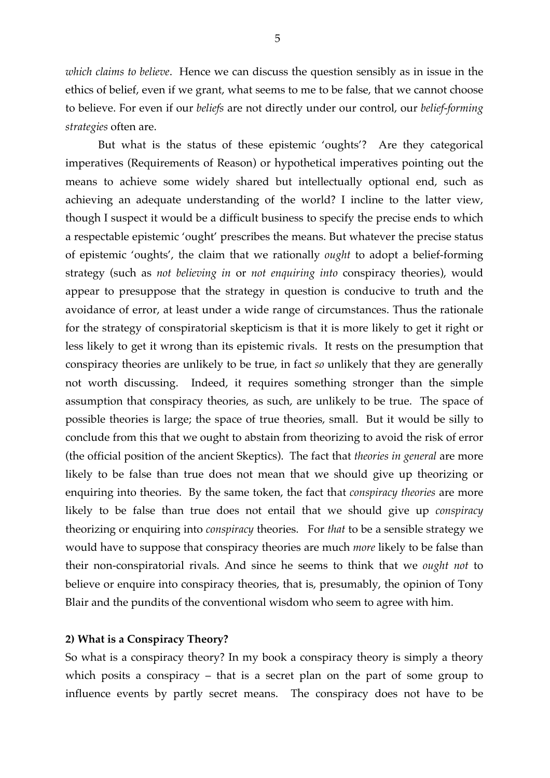*which claims to believe*. Hence we can discuss the question sensibly as in issue in the ethics of belief, even if we grant, what seems to me to be false, that we cannot choose to believe. For even if our *beliefs* are not directly under our control, our *belief-forming strategies* often are.

But what is the status of these epistemic 'oughts'? Are they categorical imperatives (Requirements of Reason) or hypothetical imperatives pointing out the means to achieve some widely shared but intellectually optional end, such as achieving an adequate understanding of the world? I incline to the latter view, though I suspect it would be a difficult business to specify the precise ends to which a respectable epistemic 'ought' prescribes the means. But whatever the precise status of epistemic 'oughts', the claim that we rationally *ought* to adopt a belief-forming strategy (such as *not believing in* or *not enquiring into* conspiracy theories), would appear to presuppose that the strategy in question is conducive to truth and the avoidance of error, at least under a wide range of circumstances. Thus the rationale for the strategy of conspiratorial skepticism is that it is more likely to get it right or less likely to get it wrong than its epistemic rivals. It rests on the presumption that conspiracy theories are unlikely to be true, in fact *so* unlikely that they are generally not worth discussing. Indeed, it requires something stronger than the simple assumption that conspiracy theories, as such, are unlikely to be true. The space of possible theories is large; the space of true theories, small. But it would be silly to conclude from this that we ought to abstain from theorizing to avoid the risk of error (the official position of the ancient Skeptics). The fact that *theories in general* are more likely to be false than true does not mean that we should give up theorizing or enquiring into theories. By the same token, the fact that *conspiracy theories* are more likely to be false than true does not entail that we should give up *conspiracy* theorizing or enquiring into *conspiracy* theories. For *that* to be a sensible strategy we would have to suppose that conspiracy theories are much *more* likely to be false than their non-conspiratorial rivals. And since he seems to think that we *ought not* to believe or enquire into conspiracy theories, that is, presumably, the opinion of Tony Blair and the pundits of the conventional wisdom who seem to agree with him.

#### **2) What is a Conspiracy Theory?**

So what is a conspiracy theory? In my book a conspiracy theory is simply a theory which posits a conspiracy – that is a secret plan on the part of some group to influence events by partly secret means. The conspiracy does not have to be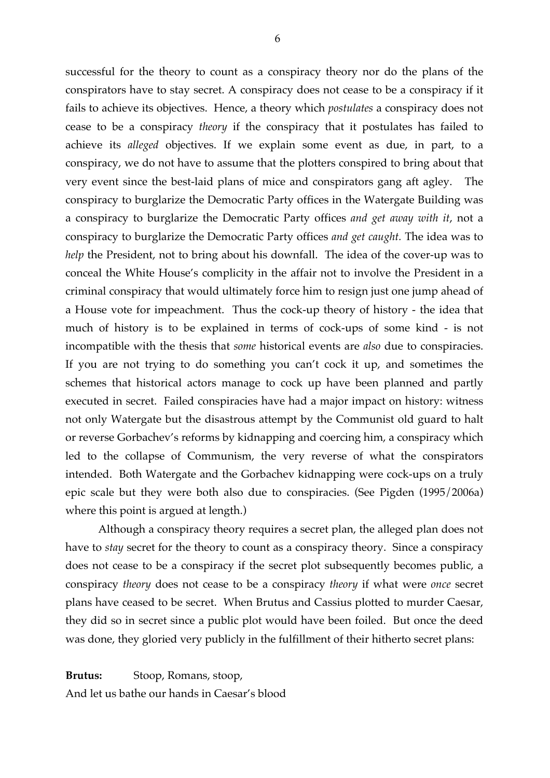successful for the theory to count as a conspiracy theory nor do the plans of the conspirators have to stay secret. A conspiracy does not cease to be a conspiracy if it fails to achieve its objectives. Hence, a theory which *postulates* a conspiracy does not cease to be a conspiracy *theory* if the conspiracy that it postulates has failed to achieve its *alleged* objectives. If we explain some event as due, in part, to a conspiracy, we do not have to assume that the plotters conspired to bring about that very event since the best-laid plans of mice and conspirators gang aft agley. The conspiracy to burglarize the Democratic Party offices in the Watergate Building was a conspiracy to burglarize the Democratic Party offices *and get away with it*, not a conspiracy to burglarize the Democratic Party offices *and get caught.* The idea was to *help* the President, not to bring about his downfall. The idea of the cover-up was to conceal the White House's complicity in the affair not to involve the President in a criminal conspiracy that would ultimately force him to resign just one jump ahead of a House vote for impeachment. Thus the cock-up theory of history - the idea that much of history is to be explained in terms of cock-ups of some kind - is not incompatible with the thesis that *some* historical events are *also* due to conspiracies. If you are not trying to do something you can't cock it up, and sometimes the schemes that historical actors manage to cock up have been planned and partly executed in secret. Failed conspiracies have had a major impact on history: witness not only Watergate but the disastrous attempt by the Communist old guard to halt or reverse Gorbachev's reforms by kidnapping and coercing him, a conspiracy which led to the collapse of Communism, the very reverse of what the conspirators intended. Both Watergate and the Gorbachev kidnapping were cock-ups on a truly epic scale but they were both also due to conspiracies. (See Pigden (1995/2006a) where this point is argued at length.)

Although a conspiracy theory requires a secret plan, the alleged plan does not have to *stay* secret for the theory to count as a conspiracy theory. Since a conspiracy does not cease to be a conspiracy if the secret plot subsequently becomes public, a conspiracy *theory* does not cease to be a conspiracy *theory* if what were *once* secret plans have ceased to be secret. When Brutus and Cassius plotted to murder Caesar, they did so in secret since a public plot would have been foiled. But once the deed was done, they gloried very publicly in the fulfillment of their hitherto secret plans:

**Brutus:** Stoop, Romans, stoop, And let us bathe our hands in Caesar's blood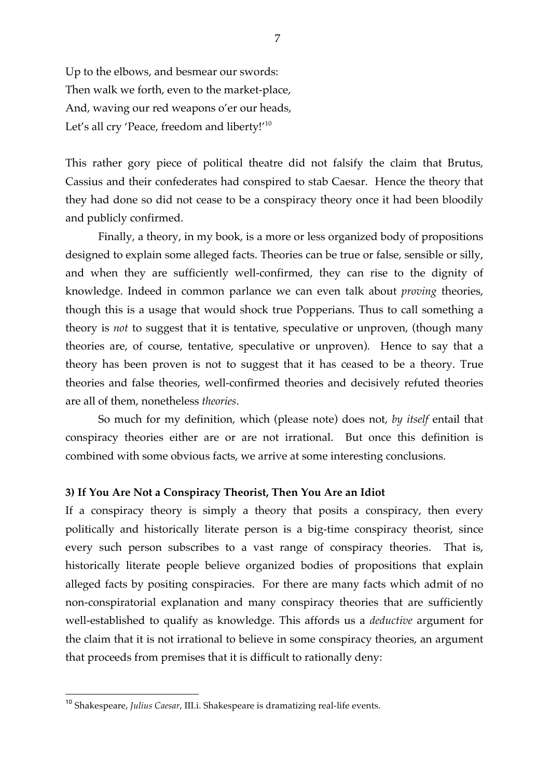Up to the elbows, and besmear our swords: Then walk we forth, even to the market-place, And, waving our red weapons o'er our heads, Let's all cry 'Peace, freedom and liberty!'<sup>10</sup>

This rather gory piece of political theatre did not falsify the claim that Brutus, Cassius and their confederates had conspired to stab Caesar. Hence the theory that they had done so did not cease to be a conspiracy theory once it had been bloodily and publicly confirmed.

Finally, a theory, in my book, is a more or less organized body of propositions designed to explain some alleged facts. Theories can be true or false, sensible or silly, and when they are sufficiently well-confirmed, they can rise to the dignity of knowledge. Indeed in common parlance we can even talk about *proving* theories, though this is a usage that would shock true Popperians. Thus to call something a theory is *not* to suggest that it is tentative, speculative or unproven, (though many theories are, of course, tentative, speculative or unproven). Hence to say that a theory has been proven is not to suggest that it has ceased to be a theory. True theories and false theories, well-confirmed theories and decisively refuted theories are all of them, nonetheless *theories*.

So much for my definition, which (please note) does not, *by itself* entail that conspiracy theories either are or are not irrational. But once this definition is combined with some obvious facts, we arrive at some interesting conclusions.

# **3) If You Are Not a Conspiracy Theorist, Then You Are an Idiot**

If a conspiracy theory is simply a theory that posits a conspiracy, then every politically and historically literate person is a big-time conspiracy theorist, since every such person subscribes to a vast range of conspiracy theories. That is, historically literate people believe organized bodies of propositions that explain alleged facts by positing conspiracies. For there are many facts which admit of no non-conspiratorial explanation and many conspiracy theories that are sufficiently well-established to qualify as knowledge. This affords us a *deductive* argument for the claim that it is not irrational to believe in some conspiracy theories, an argument that proceeds from premises that it is difficult to rationally deny:

<sup>10</sup> Shakespeare, *Julius Caesar*, III.i. Shakespeare is dramatizing real-life events.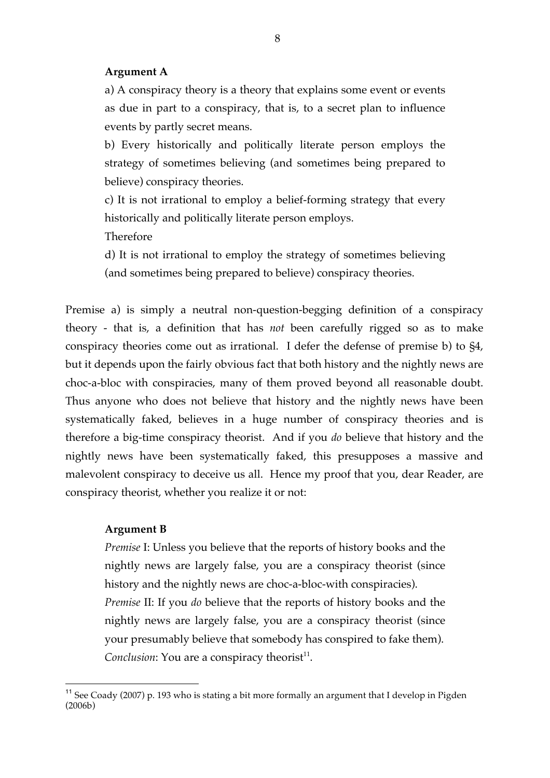# **Argument A**

a) A conspiracy theory is a theory that explains some event or events as due in part to a conspiracy, that is, to a secret plan to influence events by partly secret means.

b) Every historically and politically literate person employs the strategy of sometimes believing (and sometimes being prepared to believe) conspiracy theories.

c) It is not irrational to employ a belief-forming strategy that every historically and politically literate person employs.

Therefore

d) It is not irrational to employ the strategy of sometimes believing (and sometimes being prepared to believe) conspiracy theories.

Premise a) is simply a neutral non-question-begging definition of a conspiracy theory - that is, a definition that has *not* been carefully rigged so as to make conspiracy theories come out as irrational. I defer the defense of premise b) to §4, but it depends upon the fairly obvious fact that both history and the nightly news are choc-a-bloc with conspiracies, many of them proved beyond all reasonable doubt. Thus anyone who does not believe that history and the nightly news have been systematically faked, believes in a huge number of conspiracy theories and is therefore a big-time conspiracy theorist. And if you *do* believe that history and the nightly news have been systematically faked, this presupposes a massive and malevolent conspiracy to deceive us all. Hence my proof that you, dear Reader, are conspiracy theorist, whether you realize it or not:

# **Argument B**

*Premise* I: Unless you believe that the reports of history books and the nightly news are largely false, you are a conspiracy theorist (since history and the nightly news are choc-a-bloc-with conspiracies). *Premise* II: If you *do* believe that the reports of history books and the nightly news are largely false, you are a conspiracy theorist (since your presumably believe that somebody has conspired to fake them). *Conclusion:* You are a conspiracy theorist<sup>11</sup>.

<sup>&</sup>lt;sup>11</sup> See Coady (2007) p. 193 who is stating a bit more formally an argument that I develop in Pigden (2006b)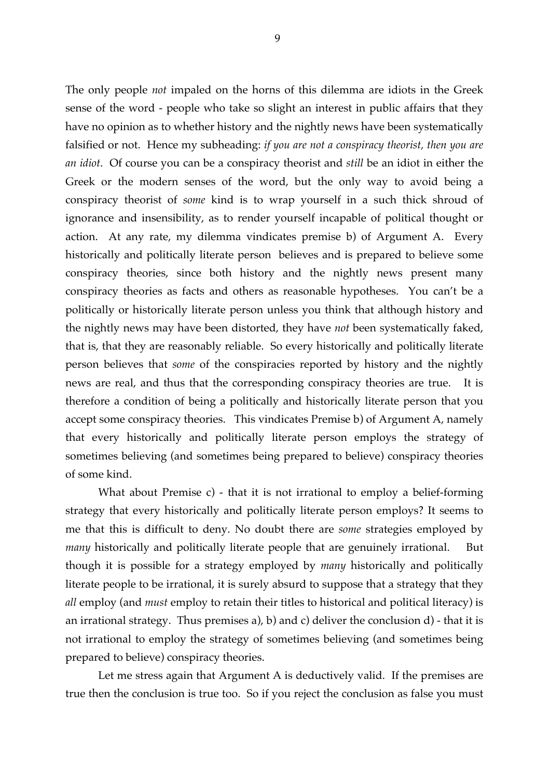The only people *not* impaled on the horns of this dilemma are idiots in the Greek sense of the word - people who take so slight an interest in public affairs that they have no opinion as to whether history and the nightly news have been systematically falsified or not. Hence my subheading: *if you are not a conspiracy theorist, then you are an idiot*. Of course you can be a conspiracy theorist and *still* be an idiot in either the Greek or the modern senses of the word, but the only way to avoid being a conspiracy theorist of *some* kind is to wrap yourself in a such thick shroud of ignorance and insensibility, as to render yourself incapable of political thought or action. At any rate, my dilemma vindicates premise b) of Argument A. Every historically and politically literate person believes and is prepared to believe some conspiracy theories, since both history and the nightly news present many conspiracy theories as facts and others as reasonable hypotheses. You can't be a politically or historically literate person unless you think that although history and the nightly news may have been distorted, they have *not* been systematically faked, that is, that they are reasonably reliable. So every historically and politically literate person believes that *some* of the conspiracies reported by history and the nightly news are real, and thus that the corresponding conspiracy theories are true. It is therefore a condition of being a politically and historically literate person that you accept some conspiracy theories. This vindicates Premise b) of Argument A, namely that every historically and politically literate person employs the strategy of sometimes believing (and sometimes being prepared to believe) conspiracy theories of some kind.

What about Premise c) - that it is not irrational to employ a belief-forming strategy that every historically and politically literate person employs? It seems to me that this is difficult to deny. No doubt there are *some* strategies employed by *many* historically and politically literate people that are genuinely irrational. But though it is possible for a strategy employed by *many* historically and politically literate people to be irrational, it is surely absurd to suppose that a strategy that they *all* employ (and *must* employ to retain their titles to historical and political literacy) is an irrational strategy. Thus premises a), b) and c) deliver the conclusion  $d$ ) - that it is not irrational to employ the strategy of sometimes believing (and sometimes being prepared to believe) conspiracy theories.

Let me stress again that Argument A is deductively valid. If the premises are true then the conclusion is true too. So if you reject the conclusion as false you must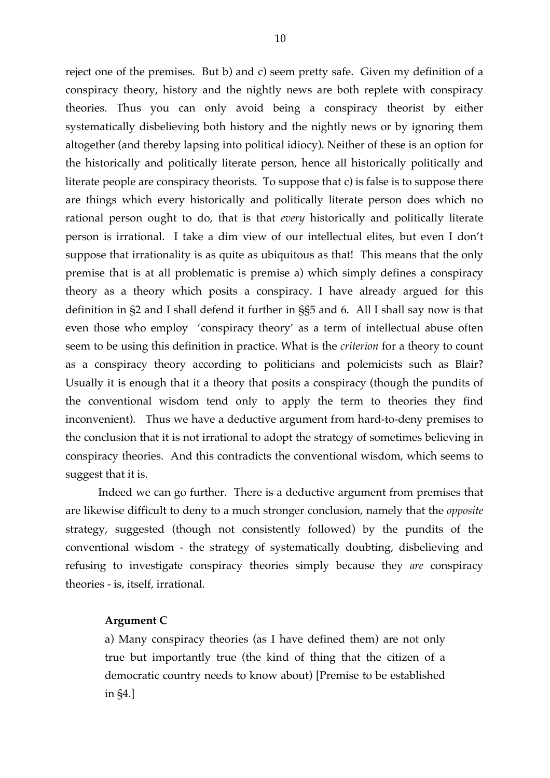reject one of the premises. But b) and c) seem pretty safe. Given my definition of a conspiracy theory, history and the nightly news are both replete with conspiracy theories. Thus you can only avoid being a conspiracy theorist by either systematically disbelieving both history and the nightly news or by ignoring them altogether (and thereby lapsing into political idiocy). Neither of these is an option for the historically and politically literate person, hence all historically politically and literate people are conspiracy theorists. To suppose that c) is false is to suppose there are things which every historically and politically literate person does which no rational person ought to do, that is that *every* historically and politically literate person is irrational. I take a dim view of our intellectual elites, but even I don't suppose that irrationality is as quite as ubiquitous as that! This means that the only premise that is at all problematic is premise a) which simply defines a conspiracy theory as a theory which posits a conspiracy. I have already argued for this definition in §2 and I shall defend it further in §§5 and 6. All I shall say now is that even those who employ 'conspiracy theory' as a term of intellectual abuse often seem to be using this definition in practice. What is the *criterion* for a theory to count as a conspiracy theory according to politicians and polemicists such as Blair? Usually it is enough that it a theory that posits a conspiracy (though the pundits of the conventional wisdom tend only to apply the term to theories they find inconvenient). Thus we have a deductive argument from hard-to-deny premises to the conclusion that it is not irrational to adopt the strategy of sometimes believing in conspiracy theories. And this contradicts the conventional wisdom, which seems to suggest that it is.

Indeed we can go further. There is a deductive argument from premises that are likewise difficult to deny to a much stronger conclusion, namely that the *opposite* strategy, suggested (though not consistently followed) by the pundits of the conventional wisdom - the strategy of systematically doubting, disbelieving and refusing to investigate conspiracy theories simply because they *are* conspiracy theories - is, itself, irrational.

# **Argument C**

a) Many conspiracy theories (as I have defined them) are not only true but importantly true (the kind of thing that the citizen of a democratic country needs to know about) [Premise to be established in §4.]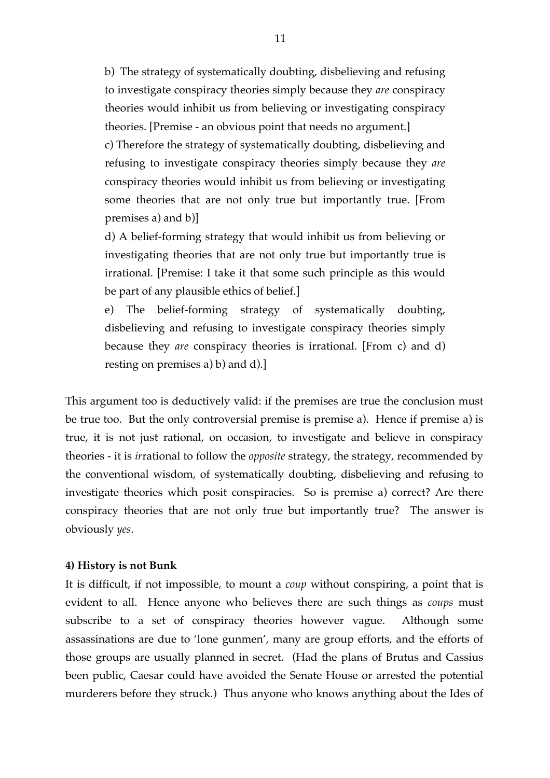b) The strategy of systematically doubting, disbelieving and refusing to investigate conspiracy theories simply because they *are* conspiracy theories would inhibit us from believing or investigating conspiracy theories. [Premise - an obvious point that needs no argument.]

c) Therefore the strategy of systematically doubting, disbelieving and refusing to investigate conspiracy theories simply because they *are* conspiracy theories would inhibit us from believing or investigating some theories that are not only true but importantly true. [From premises a) and b)]

d) A belief-forming strategy that would inhibit us from believing or investigating theories that are not only true but importantly true is irrational. [Premise: I take it that some such principle as this would be part of any plausible ethics of belief.]

e) The belief-forming strategy of systematically doubting, disbelieving and refusing to investigate conspiracy theories simply because they *are* conspiracy theories is irrational. [From c) and d) resting on premises a) b) and d).]

This argument too is deductively valid: if the premises are true the conclusion must be true too. But the only controversial premise is premise a). Hence if premise a) is true, it is not just rational, on occasion, to investigate and believe in conspiracy theories - it is *ir*rational to follow the *opposite* strategy, the strategy, recommended by the conventional wisdom, of systematically doubting, disbelieving and refusing to investigate theories which posit conspiracies. So is premise a) correct? Are there conspiracy theories that are not only true but importantly true? The answer is obviously *yes*.

# **4) History is not Bunk**

It is difficult, if not impossible, to mount a *coup* without conspiring, a point that is evident to all. Hence anyone who believes there are such things as *coups* must subscribe to a set of conspiracy theories however vague. Although some assassinations are due to 'lone gunmen', many are group efforts, and the efforts of those groups are usually planned in secret. (Had the plans of Brutus and Cassius been public, Caesar could have avoided the Senate House or arrested the potential murderers before they struck.) Thus anyone who knows anything about the Ides of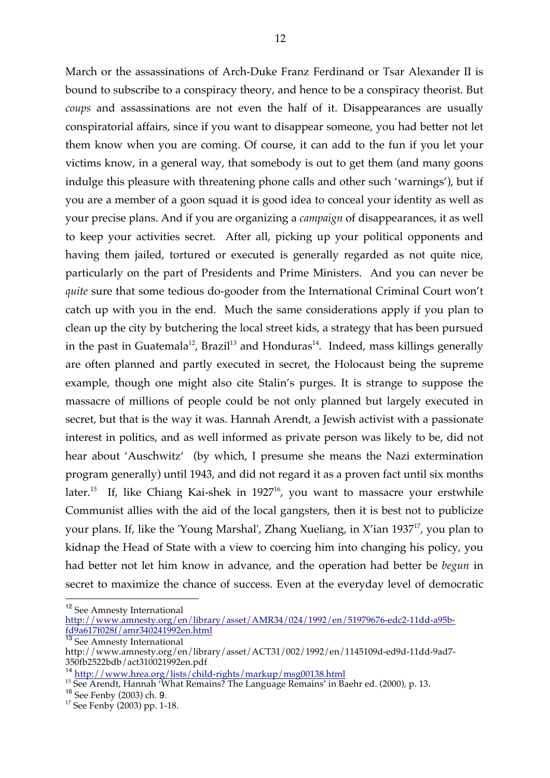March or the assassinations of Arch-Duke Franz Ferdinand or Tsar Alexander II is bound to subscribe to a conspiracy theory, and hence to be a conspiracy theorist. But *coups* and assassinations are not even the half of it. Disappearances are usually conspiratorial affairs, since if you want to disappear someone, you had better not let them know when you are coming. Of course, it can add to the fun if you let your victims know, in a general way, that somebody is out to get them (and many goons indulge this pleasure with threatening phone calls and other such 'warnings'), but if you are a member of a goon squad it is good idea to conceal your identity as well as your precise plans. And if you are organizing a *campaign* of disappearances, it as well to keep your activities secret. After all, picking up your political opponents and having them jailed, tortured or executed is generally regarded as not quite nice, particularly on the part of Presidents and Prime Ministers. And you can never be *quite* sure that some tedious do-gooder from the International Criminal Court won't catch up with you in the end*.* Much the same considerations apply if you plan to clean up the city by butchering the local street kids, a strategy that has been pursued in the past in Guatemala<sup>12</sup>, Brazil<sup>13</sup> and Honduras<sup>14</sup>. Indeed, mass killings generally are often planned and partly executed in secret, the Holocaust being the supreme example, though one might also cite Stalin's purges. It is strange to suppose the massacre of millions of people could be not only planned but largely executed in secret, but that is the way it was. Hannah Arendt, a Jewish activist with a passionate interest in politics, and as well informed as private person was likely to be, did not hear about 'Auschwitz' (by which, I presume she means the Nazi extermination program generally) until 1943, and did not regard it as a proven fact until six months later.<sup>15</sup> If, like Chiang Kai-shek in 1927<sup>16</sup>, you want to massacre your erstwhile Communist allies with the aid of the local gangsters, then it is best not to publicize your plans. If, like the 'Young Marshal', Zhang Xueliang, in X'ian 1937<sup>17</sup>, you plan to kidnap the Head of State with a view to coercing him into changing his policy, you had better not let him know in advance, and the operation had better be *begun* in secret to maximize the chance of success. Even at the everyday level of democratic

<sup>12</sup> See Amnesty International

http://www.amnesty.org/en/library/asset/AMR34/024/1992/en/51979676-edc2-11dd-a95bfd9a617f028f/amr340241992en.html

<sup>&</sup>lt;sup>13</sup> See Amnesty International

http://www.amnesty.org/en/library/asset/ACT31/002/1992/en/1145109d-ed9d-11dd-9ad7- 350fb2522bdb/act310021992en.pdf

<sup>&</sup>lt;sup>14</sup> http://www.hrea.org/lists/child-rights/markup/msg00138.html<br><sup>15</sup> See Arendt, Hannah 'What Remains? The Language Remains' in Baehr ed. (2000), p. 13.<br><sup>16</sup> See Fenbv (2003) ch. 9.

<sup>&</sup>lt;sup>17</sup> See Fenby (2003) pp. 1-18.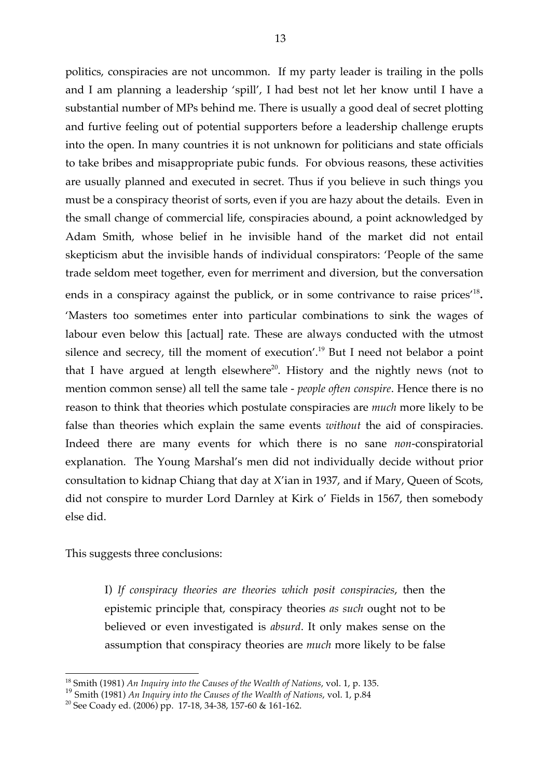politics, conspiracies are not uncommon. If my party leader is trailing in the polls and I am planning a leadership 'spill', I had best not let her know until I have a substantial number of MPs behind me. There is usually a good deal of secret plotting and furtive feeling out of potential supporters before a leadership challenge erupts into the open. In many countries it is not unknown for politicians and state officials to take bribes and misappropriate pubic funds. For obvious reasons, these activities are usually planned and executed in secret. Thus if you believe in such things you must be a conspiracy theorist of sorts, even if you are hazy about the details. Even in the small change of commercial life, conspiracies abound, a point acknowledged by Adam Smith, whose belief in he invisible hand of the market did not entail skepticism abut the invisible hands of individual conspirators: 'People of the same trade seldom meet together, even for merriment and diversion, but the conversation ends in a conspiracy against the publick, or in some contrivance to raise prices<sup>18</sup>. 'Masters too sometimes enter into particular combinations to sink the wages of labour even below this [actual] rate. These are always conducted with the utmost silence and secrecy, till the moment of execution'.<sup>19</sup> But I need not belabor a point that I have argued at length elsewhere<sup>20</sup>. History and the nightly news (not to mention common sense) all tell the same tale - *people often conspire*. Hence there is no reason to think that theories which postulate conspiracies are *much* more likely to be false than theories which explain the same events *without* the aid of conspiracies. Indeed there are many events for which there is no sane *non*-conspiratorial explanation. The Young Marshal's men did not individually decide without prior consultation to kidnap Chiang that day at X'ian in 1937, and if Mary, Queen of Scots, did not conspire to murder Lord Darnley at Kirk o' Fields in 1567, then somebody else did.

This suggests three conclusions:

I) *If conspiracy theories are theories which posit conspiracies*, then the epistemic principle that, conspiracy theories *as such* ought not to be believed or even investigated is *absurd*. It only makes sense on the assumption that conspiracy theories are *much* more likely to be false

 <sup>18</sup> Smith (1981) *An Inquiry into the Causes of the Wealth of Nations*, vol. 1, p. 135.

<sup>19</sup> Smith (1981) *An Inquiry into the Causes of the Wealth of Nations*, vol. 1, p.84

<sup>20</sup> See Coady ed. (2006) pp. 17-18, 34-38, 157-60 & 161-162.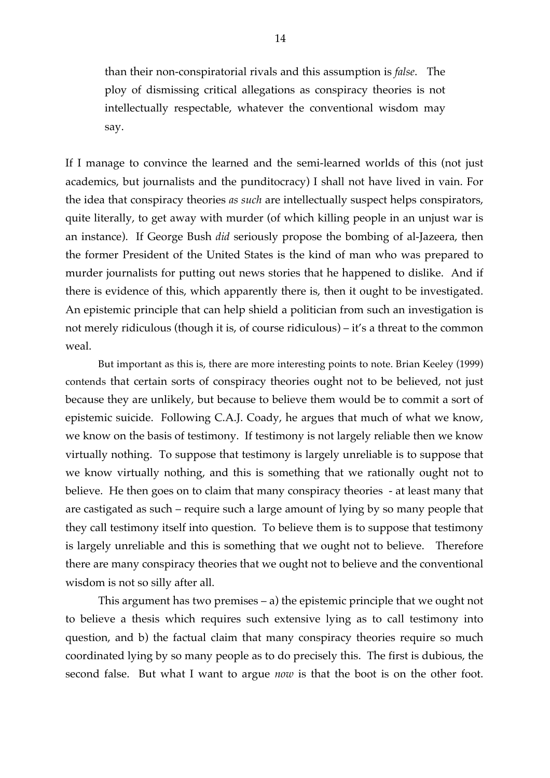than their non-conspiratorial rivals and this assumption is *false*. The ploy of dismissing critical allegations as conspiracy theories is not intellectually respectable, whatever the conventional wisdom may say.

If I manage to convince the learned and the semi-learned worlds of this (not just academics, but journalists and the punditocracy) I shall not have lived in vain. For the idea that conspiracy theories *as such* are intellectually suspect helps conspirators, quite literally, to get away with murder (of which killing people in an unjust war is an instance). If George Bush *did* seriously propose the bombing of al-Jazeera, then the former President of the United States is the kind of man who was prepared to murder journalists for putting out news stories that he happened to dislike. And if there is evidence of this, which apparently there is, then it ought to be investigated. An epistemic principle that can help shield a politician from such an investigation is not merely ridiculous (though it is, of course ridiculous) – it's a threat to the common weal.

But important as this is, there are more interesting points to note. Brian Keeley (1999) contends that certain sorts of conspiracy theories ought not to be believed, not just because they are unlikely, but because to believe them would be to commit a sort of epistemic suicide. Following C.A.J. Coady, he argues that much of what we know, we know on the basis of testimony. If testimony is not largely reliable then we know virtually nothing. To suppose that testimony is largely unreliable is to suppose that we know virtually nothing, and this is something that we rationally ought not to believe. He then goes on to claim that many conspiracy theories - at least many that are castigated as such – require such a large amount of lying by so many people that they call testimony itself into question. To believe them is to suppose that testimony is largely unreliable and this is something that we ought not to believe. Therefore there are many conspiracy theories that we ought not to believe and the conventional wisdom is not so silly after all.

This argument has two premises – a) the epistemic principle that we ought not to believe a thesis which requires such extensive lying as to call testimony into question, and b) the factual claim that many conspiracy theories require so much coordinated lying by so many people as to do precisely this. The first is dubious, the second false. But what I want to argue *now* is that the boot is on the other foot.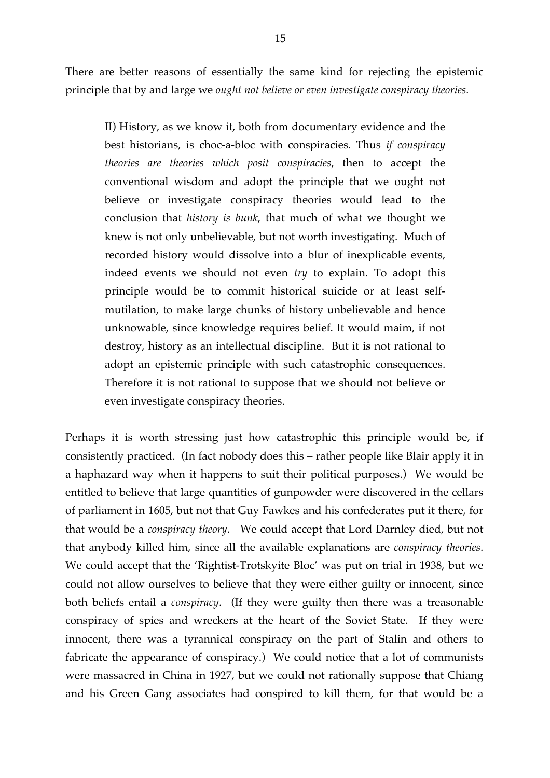There are better reasons of essentially the same kind for rejecting the epistemic principle that by and large we *ought not believe or even investigate conspiracy theories.*

II) History, as we know it, both from documentary evidence and the best historians, is choc-a-bloc with conspiracies. Thus *if conspiracy theories are theories which posit conspiracies*, then to accept the conventional wisdom and adopt the principle that we ought not believe or investigate conspiracy theories would lead to the conclusion that *history is bunk*, that much of what we thought we knew is not only unbelievable, but not worth investigating. Much of recorded history would dissolve into a blur of inexplicable events, indeed events we should not even *try* to explain. To adopt this principle would be to commit historical suicide or at least selfmutilation, to make large chunks of history unbelievable and hence unknowable, since knowledge requires belief. It would maim, if not destroy, history as an intellectual discipline. But it is not rational to adopt an epistemic principle with such catastrophic consequences. Therefore it is not rational to suppose that we should not believe or even investigate conspiracy theories.

Perhaps it is worth stressing just how catastrophic this principle would be, if consistently practiced. (In fact nobody does this – rather people like Blair apply it in a haphazard way when it happens to suit their political purposes.) We would be entitled to believe that large quantities of gunpowder were discovered in the cellars of parliament in 1605, but not that Guy Fawkes and his confederates put it there, for that would be a *conspiracy theory*. We could accept that Lord Darnley died, but not that anybody killed him, since all the available explanations are *conspiracy theories*. We could accept that the 'Rightist-Trotskyite Bloc' was put on trial in 1938, but we could not allow ourselves to believe that they were either guilty or innocent, since both beliefs entail a *conspiracy*. (If they were guilty then there was a treasonable conspiracy of spies and wreckers at the heart of the Soviet State. If they were innocent, there was a tyrannical conspiracy on the part of Stalin and others to fabricate the appearance of conspiracy.) We could notice that a lot of communists were massacred in China in 1927, but we could not rationally suppose that Chiang and his Green Gang associates had conspired to kill them, for that would be a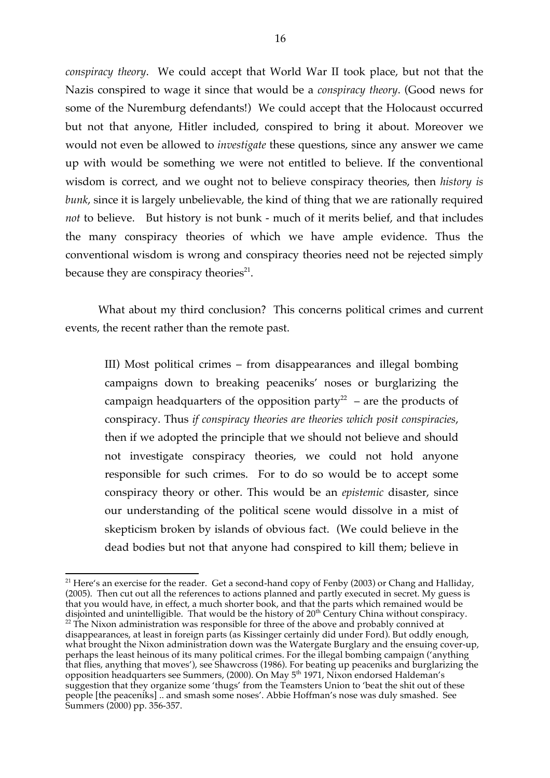*conspiracy theory*. We could accept that World War II took place, but not that the Nazis conspired to wage it since that would be a *conspiracy theory*. (Good news for some of the Nuremburg defendants!) We could accept that the Holocaust occurred but not that anyone, Hitler included, conspired to bring it about. Moreover we would not even be allowed to *investigate* these questions, since any answer we came up with would be something we were not entitled to believe. If the conventional wisdom is correct, and we ought not to believe conspiracy theories, then *history is bunk*, since it is largely unbelievable, the kind of thing that we are rationally required *not* to believe. But history is not bunk - much of it merits belief, and that includes the many conspiracy theories of which we have ample evidence. Thus the conventional wisdom is wrong and conspiracy theories need not be rejected simply because they are conspiracy theories $21$ .

What about my third conclusion? This concerns political crimes and current events, the recent rather than the remote past.

III) Most political crimes – from disappearances and illegal bombing campaigns down to breaking peaceniks' noses or burglarizing the campaign headquarters of the opposition party<sup>22</sup> – are the products of conspiracy. Thus *if conspiracy theories are theories which posit conspiracies*, then if we adopted the principle that we should not believe and should not investigate conspiracy theories, we could not hold anyone responsible for such crimes. For to do so would be to accept some conspiracy theory or other. This would be an *epistemic* disaster, since our understanding of the political scene would dissolve in a mist of skepticism broken by islands of obvious fact. (We could believe in the dead bodies but not that anyone had conspired to kill them; believe in

<sup>&</sup>lt;sup>21</sup> Here's an exercise for the reader. Get a second-hand copy of Fenby (2003) or Chang and Halliday, (2005). Then cut out all the references to actions planned and partly executed in secret. My guess is that you would have, in effect, a much shorter book, and that the parts which remained would be disjointed and unintelligible. That would be the history of  $20<sup>th</sup>$  Century China without conspiracy. <sup>22</sup> The Nixon administration was responsible for three of the above and probably connived at disappearances, at least in foreign parts (as Kissinger certainly did under Ford). But oddly enough, what brought the Nixon administration down was the Watergate Burglary and the ensuing cover-up, perhaps the least heinous of its many political crimes. For the illegal bombing campaign ('anything that flies, anything that moves'), see Shawcross (1986). For beating up peaceniks and burglarizing the opposition headquarters see Summers, (2000). On May 5<sup>th</sup> 1971, Nixon endorsed Haldeman's suggestion that they organize some 'thugs' from the Teamsters Union to 'beat the shit out of these people [the peaceniks] .. and smash some noses'. Abbie Hoffman's nose was duly smashed. See Summers (2000) pp. 356-357.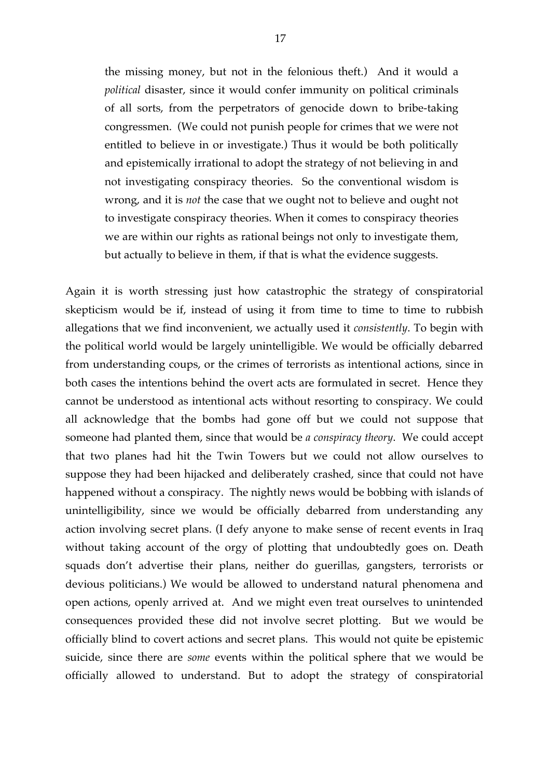the missing money, but not in the felonious theft.) And it would a *political* disaster, since it would confer immunity on political criminals of all sorts, from the perpetrators of genocide down to bribe-taking congressmen. (We could not punish people for crimes that we were not entitled to believe in or investigate.) Thus it would be both politically and epistemically irrational to adopt the strategy of not believing in and not investigating conspiracy theories. So the conventional wisdom is wrong, and it is *not* the case that we ought not to believe and ought not to investigate conspiracy theories. When it comes to conspiracy theories we are within our rights as rational beings not only to investigate them, but actually to believe in them, if that is what the evidence suggests.

Again it is worth stressing just how catastrophic the strategy of conspiratorial skepticism would be if, instead of using it from time to time to time to rubbish allegations that we find inconvenient, we actually used it *consistently*. To begin with the political world would be largely unintelligible. We would be officially debarred from understanding coups, or the crimes of terrorists as intentional actions, since in both cases the intentions behind the overt acts are formulated in secret. Hence they cannot be understood as intentional acts without resorting to conspiracy. We could all acknowledge that the bombs had gone off but we could not suppose that someone had planted them, since that would be *a conspiracy theory*. We could accept that two planes had hit the Twin Towers but we could not allow ourselves to suppose they had been hijacked and deliberately crashed, since that could not have happened without a conspiracy. The nightly news would be bobbing with islands of unintelligibility, since we would be officially debarred from understanding any action involving secret plans. (I defy anyone to make sense of recent events in Iraq without taking account of the orgy of plotting that undoubtedly goes on. Death squads don't advertise their plans, neither do guerillas, gangsters, terrorists or devious politicians.) We would be allowed to understand natural phenomena and open actions, openly arrived at. And we might even treat ourselves to unintended consequences provided these did not involve secret plotting. But we would be officially blind to covert actions and secret plans. This would not quite be epistemic suicide, since there are *some* events within the political sphere that we would be officially allowed to understand. But to adopt the strategy of conspiratorial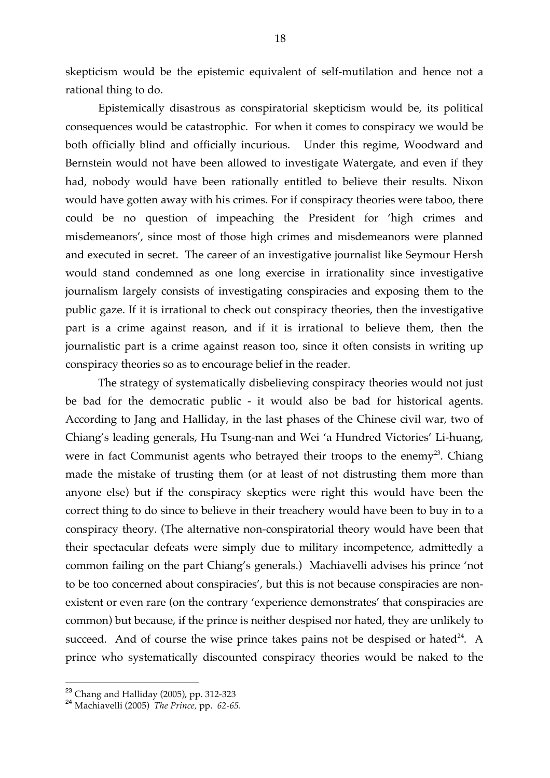skepticism would be the epistemic equivalent of self-mutilation and hence not a rational thing to do.

Epistemically disastrous as conspiratorial skepticism would be, its political consequences would be catastrophic. For when it comes to conspiracy we would be both officially blind and officially incurious. Under this regime, Woodward and Bernstein would not have been allowed to investigate Watergate, and even if they had, nobody would have been rationally entitled to believe their results. Nixon would have gotten away with his crimes. For if conspiracy theories were taboo, there could be no question of impeaching the President for 'high crimes and misdemeanors', since most of those high crimes and misdemeanors were planned and executed in secret. The career of an investigative journalist like Seymour Hersh would stand condemned as one long exercise in irrationality since investigative journalism largely consists of investigating conspiracies and exposing them to the public gaze. If it is irrational to check out conspiracy theories, then the investigative part is a crime against reason, and if it is irrational to believe them, then the journalistic part is a crime against reason too, since it often consists in writing up conspiracy theories so as to encourage belief in the reader.

The strategy of systematically disbelieving conspiracy theories would not just be bad for the democratic public - it would also be bad for historical agents. According to Jang and Halliday, in the last phases of the Chinese civil war, two of Chiang's leading generals, Hu Tsung-nan and Wei 'a Hundred Victories' Li-huang, were in fact Communist agents who betrayed their troops to the enemy<sup>23</sup>. Chiang made the mistake of trusting them (or at least of not distrusting them more than anyone else) but if the conspiracy skeptics were right this would have been the correct thing to do since to believe in their treachery would have been to buy in to a conspiracy theory. (The alternative non-conspiratorial theory would have been that their spectacular defeats were simply due to military incompetence, admittedly a common failing on the part Chiang's generals.) Machiavelli advises his prince 'not to be too concerned about conspiracies', but this is not because conspiracies are nonexistent or even rare (on the contrary 'experience demonstrates' that conspiracies are common) but because, if the prince is neither despised nor hated, they are unlikely to succeed. And of course the wise prince takes pains not be despised or hated<sup>24</sup>. A prince who systematically discounted conspiracy theories would be naked to the

 $23$  Chang and Halliday (2005), pp. 312-323

<sup>24</sup> Machiavelli (2005) *The Prince,* pp. *62-65.*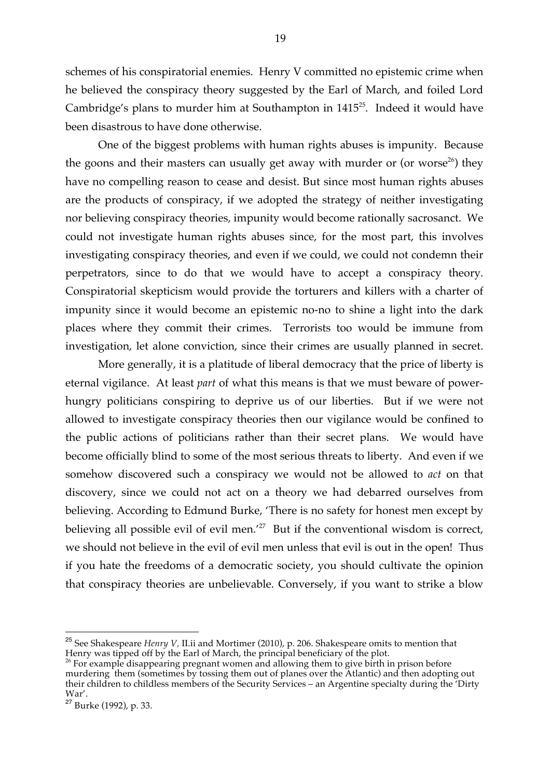schemes of his conspiratorial enemies. Henry V committed no epistemic crime when he believed the conspiracy theory suggested by the Earl of March, and foiled Lord Cambridge's plans to murder him at Southampton in 1415<sup>25</sup>. Indeed it would have been disastrous to have done otherwise.

One of the biggest problems with human rights abuses is impunity. Because the goons and their masters can usually get away with murder or (or worse<sup>26</sup>) they have no compelling reason to cease and desist. But since most human rights abuses are the products of conspiracy, if we adopted the strategy of neither investigating nor believing conspiracy theories, impunity would become rationally sacrosanct. We could not investigate human rights abuses since, for the most part, this involves investigating conspiracy theories, and even if we could, we could not condemn their perpetrators, since to do that we would have to accept a conspiracy theory. Conspiratorial skepticism would provide the torturers and killers with a charter of impunity since it would become an epistemic no-no to shine a light into the dark places where they commit their crimes. Terrorists too would be immune from investigation, let alone conviction, since their crimes are usually planned in secret.

More generally, it is a platitude of liberal democracy that the price of liberty is eternal vigilance. At least *part* of what this means is that we must beware of powerhungry politicians conspiring to deprive us of our liberties. But if we were not allowed to investigate conspiracy theories then our vigilance would be confined to the public actions of politicians rather than their secret plans. We would have become officially blind to some of the most serious threats to liberty. And even if we somehow discovered such a conspiracy we would not be allowed to *act* on that discovery, since we could not act on a theory we had debarred ourselves from believing. According to Edmund Burke, 'There is no safety for honest men except by believing all possible evil of evil men.<sup>'27</sup> But if the conventional wisdom is correct, we should not believe in the evil of evil men unless that evil is out in the open! Thus if you hate the freedoms of a democratic society, you should cultivate the opinion that conspiracy theories are unbelievable. Conversely, if you want to strike a blow

 <sup>25</sup> See Shakespeare *Henry V,* II.ii and Mortimer (2010), p. 206. Shakespeare omits to mention that Henry was tipped off by the Earl of March, the principal beneficiary of the plot.

 $26$  For example disappearing pregnant women and allowing them to give birth in prison before murdering them (sometimes by tossing them out of planes over the Atlantic) and then adopting out their children to childless members of the Security Services – an Argentine specialty during the 'Dirty War'.

<sup>27</sup> Burke (1992), p. 33.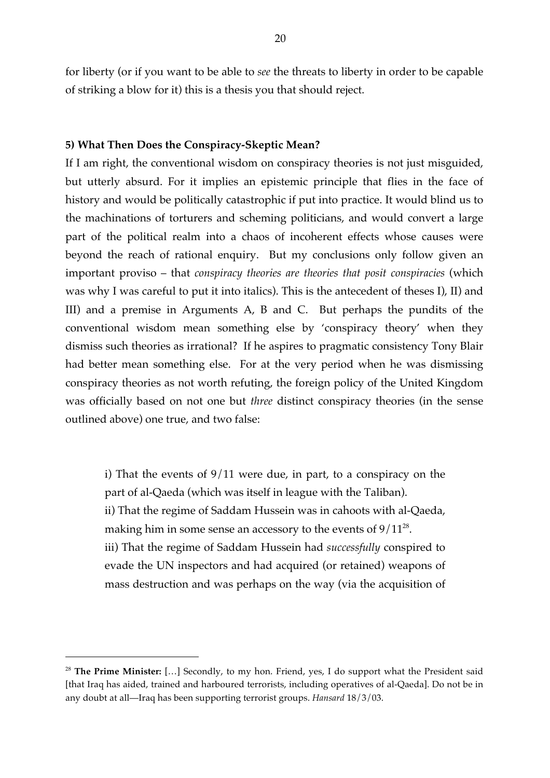for liberty (or if you want to be able to *see* the threats to liberty in order to be capable of striking a blow for it) this is a thesis you that should reject.

#### **5) What Then Does the Conspiracy-Skeptic Mean?**

If I am right, the conventional wisdom on conspiracy theories is not just misguided, but utterly absurd. For it implies an epistemic principle that flies in the face of history and would be politically catastrophic if put into practice. It would blind us to the machinations of torturers and scheming politicians, and would convert a large part of the political realm into a chaos of incoherent effects whose causes were beyond the reach of rational enquiry. But my conclusions only follow given an important proviso – that *conspiracy theories are theories that posit conspiracies* (which was why I was careful to put it into italics). This is the antecedent of theses I), II) and III) and a premise in Arguments A, B and C. But perhaps the pundits of the conventional wisdom mean something else by 'conspiracy theory' when they dismiss such theories as irrational? If he aspires to pragmatic consistency Tony Blair had better mean something else. For at the very period when he was dismissing conspiracy theories as not worth refuting, the foreign policy of the United Kingdom was officially based on not one but *three* distinct conspiracy theories (in the sense outlined above) one true, and two false:

i) That the events of 9/11 were due, in part, to a conspiracy on the part of al-Qaeda (which was itself in league with the Taliban). ii) That the regime of Saddam Hussein was in cahoots with al-Qaeda, making him in some sense an accessory to the events of  $9/11^{28}$ . iii) That the regime of Saddam Hussein had *successfully* conspired to evade the UN inspectors and had acquired (or retained) weapons of mass destruction and was perhaps on the way (via the acquisition of

 $\overline{a}$ 

<sup>&</sup>lt;sup>28</sup> The Prime Minister: [...] Secondly, to my hon. Friend, yes, I do support what the President said [that Iraq has aided, trained and harboured terrorists, including operatives of al-Qaeda]. Do not be in any doubt at all—Iraq has been supporting terrorist groups. *Hansard* 18/3/03.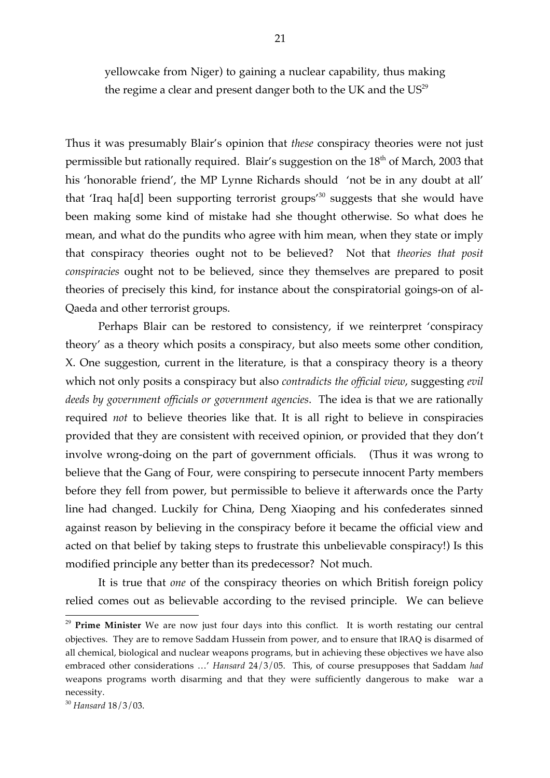yellowcake from Niger) to gaining a nuclear capability, thus making the regime a clear and present danger both to the UK and the  $US^{29}$ 

Thus it was presumably Blair's opinion that *these* conspiracy theories were not just permissible but rationally required. Blair's suggestion on the 18<sup>th</sup> of March, 2003 that his 'honorable friend', the MP Lynne Richards should 'not be in any doubt at all' that 'Iraq ha[d] been supporting terrorist groups<sup>'30</sup> suggests that she would have been making some kind of mistake had she thought otherwise. So what does he mean, and what do the pundits who agree with him mean, when they state or imply that conspiracy theories ought not to be believed? Not that *theories that posit conspiracies* ought not to be believed, since they themselves are prepared to posit theories of precisely this kind, for instance about the conspiratorial goings-on of al-Qaeda and other terrorist groups.

Perhaps Blair can be restored to consistency, if we reinterpret 'conspiracy theory' as a theory which posits a conspiracy, but also meets some other condition, X. One suggestion, current in the literature, is that a conspiracy theory is a theory which not only posits a conspiracy but also *contradicts the official view*, suggesting *evil deeds by government officials or government agencies*. The idea is that we are rationally required *not* to believe theories like that. It is all right to believe in conspiracies provided that they are consistent with received opinion, or provided that they don't involve wrong-doing on the part of government officials. (Thus it was wrong to believe that the Gang of Four, were conspiring to persecute innocent Party members before they fell from power, but permissible to believe it afterwards once the Party line had changed. Luckily for China, Deng Xiaoping and his confederates sinned against reason by believing in the conspiracy before it became the official view and acted on that belief by taking steps to frustrate this unbelievable conspiracy!) Is this modified principle any better than its predecessor? Not much.

It is true that *one* of the conspiracy theories on which British foreign policy relied comes out as believable according to the revised principle. We can believe

<sup>&</sup>lt;sup>29</sup> Prime Minister We are now just four days into this conflict. It is worth restating our central objectives. They are to remove Saddam Hussein from power, and to ensure that IRAQ is disarmed of all chemical, biological and nuclear weapons programs, but in achieving these objectives we have also embraced other considerations …' *Hansard* 24/3/05. This, of course presupposes that Saddam *had*  weapons programs worth disarming and that they were sufficiently dangerous to make war a necessity.

<sup>30</sup> *Hansard* 18/3/03.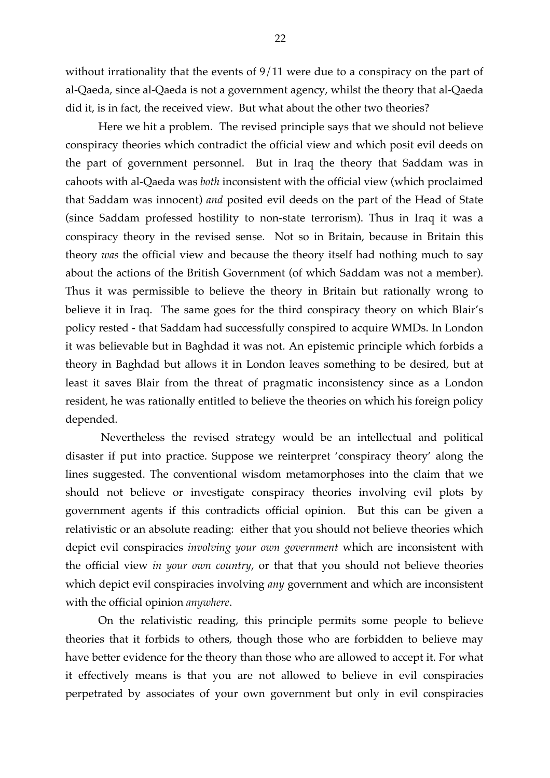without irrationality that the events of 9/11 were due to a conspiracy on the part of al-Qaeda, since al-Qaeda is not a government agency, whilst the theory that al-Qaeda did it, is in fact, the received view. But what about the other two theories?

Here we hit a problem. The revised principle says that we should not believe conspiracy theories which contradict the official view and which posit evil deeds on the part of government personnel. But in Iraq the theory that Saddam was in cahoots with al-Qaeda was *both* inconsistent with the official view (which proclaimed that Saddam was innocent) *and* posited evil deeds on the part of the Head of State (since Saddam professed hostility to non-state terrorism). Thus in Iraq it was a conspiracy theory in the revised sense. Not so in Britain, because in Britain this theory *was* the official view and because the theory itself had nothing much to say about the actions of the British Government (of which Saddam was not a member). Thus it was permissible to believe the theory in Britain but rationally wrong to believe it in Iraq. The same goes for the third conspiracy theory on which Blair's policy rested - that Saddam had successfully conspired to acquire WMDs. In London it was believable but in Baghdad it was not. An epistemic principle which forbids a theory in Baghdad but allows it in London leaves something to be desired, but at least it saves Blair from the threat of pragmatic inconsistency since as a London resident, he was rationally entitled to believe the theories on which his foreign policy depended.

Nevertheless the revised strategy would be an intellectual and political disaster if put into practice. Suppose we reinterpret 'conspiracy theory' along the lines suggested. The conventional wisdom metamorphoses into the claim that we should not believe or investigate conspiracy theories involving evil plots by government agents if this contradicts official opinion. But this can be given a relativistic or an absolute reading: either that you should not believe theories which depict evil conspiracies *involving your own government* which are inconsistent with the official view *in your own country*, or that that you should not believe theories which depict evil conspiracies involving *any* government and which are inconsistent with the official opinion *anywhere*.

On the relativistic reading, this principle permits some people to believe theories that it forbids to others, though those who are forbidden to believe may have better evidence for the theory than those who are allowed to accept it. For what it effectively means is that you are not allowed to believe in evil conspiracies perpetrated by associates of your own government but only in evil conspiracies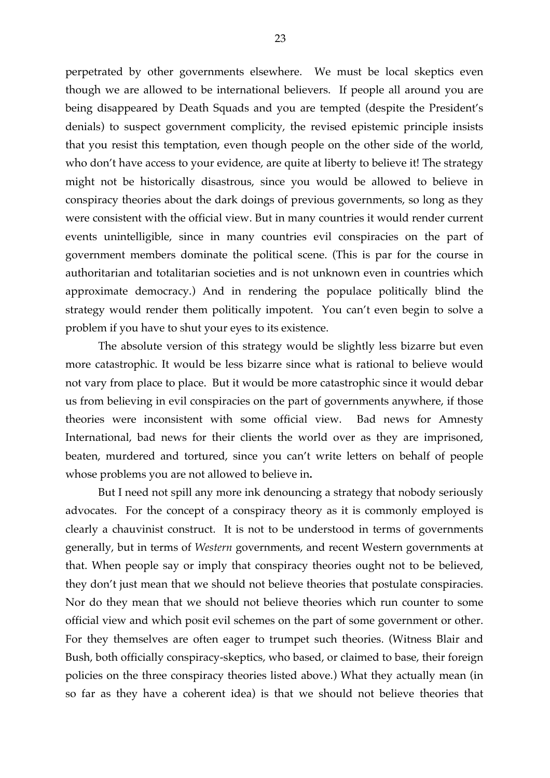perpetrated by other governments elsewhere. We must be local skeptics even though we are allowed to be international believers. If people all around you are being disappeared by Death Squads and you are tempted (despite the President's denials) to suspect government complicity, the revised epistemic principle insists that you resist this temptation, even though people on the other side of the world, who don't have access to your evidence, are quite at liberty to believe it! The strategy might not be historically disastrous, since you would be allowed to believe in conspiracy theories about the dark doings of previous governments, so long as they were consistent with the official view. But in many countries it would render current events unintelligible, since in many countries evil conspiracies on the part of government members dominate the political scene. (This is par for the course in authoritarian and totalitarian societies and is not unknown even in countries which approximate democracy.) And in rendering the populace politically blind the strategy would render them politically impotent. You can't even begin to solve a problem if you have to shut your eyes to its existence.

The absolute version of this strategy would be slightly less bizarre but even more catastrophic. It would be less bizarre since what is rational to believe would not vary from place to place. But it would be more catastrophic since it would debar us from believing in evil conspiracies on the part of governments anywhere, if those theories were inconsistent with some official view. Bad news for Amnesty International, bad news for their clients the world over as they are imprisoned, beaten, murdered and tortured, since you can't write letters on behalf of people whose problems you are not allowed to believe in**.** 

But I need not spill any more ink denouncing a strategy that nobody seriously advocates. For the concept of a conspiracy theory as it is commonly employed is clearly a chauvinist construct. It is not to be understood in terms of governments generally, but in terms of *Western* governments, and recent Western governments at that. When people say or imply that conspiracy theories ought not to be believed, they don't just mean that we should not believe theories that postulate conspiracies. Nor do they mean that we should not believe theories which run counter to some official view and which posit evil schemes on the part of some government or other. For they themselves are often eager to trumpet such theories. (Witness Blair and Bush, both officially conspiracy-skeptics, who based, or claimed to base, their foreign policies on the three conspiracy theories listed above.) What they actually mean (in so far as they have a coherent idea) is that we should not believe theories that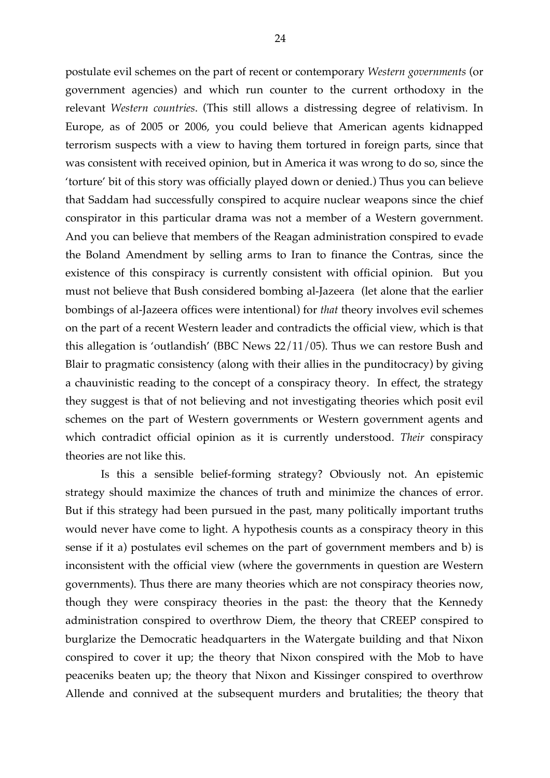postulate evil schemes on the part of recent or contemporary *Western governments* (or government agencies) and which run counter to the current orthodoxy in the relevant *Western countries*. (This still allows a distressing degree of relativism. In Europe, as of 2005 or 2006, you could believe that American agents kidnapped terrorism suspects with a view to having them tortured in foreign parts, since that was consistent with received opinion, but in America it was wrong to do so, since the 'torture' bit of this story was officially played down or denied.) Thus you can believe that Saddam had successfully conspired to acquire nuclear weapons since the chief conspirator in this particular drama was not a member of a Western government. And you can believe that members of the Reagan administration conspired to evade the Boland Amendment by selling arms to Iran to finance the Contras, since the existence of this conspiracy is currently consistent with official opinion. But you must not believe that Bush considered bombing al-Jazeera (let alone that the earlier bombings of al-Jazeera offices were intentional) for *that* theory involves evil schemes on the part of a recent Western leader and contradicts the official view, which is that this allegation is 'outlandish' (BBC News 22/11/05). Thus we can restore Bush and Blair to pragmatic consistency (along with their allies in the punditocracy) by giving a chauvinistic reading to the concept of a conspiracy theory. In effect, the strategy they suggest is that of not believing and not investigating theories which posit evil schemes on the part of Western governments or Western government agents and which contradict official opinion as it is currently understood. *Their* conspiracy theories are not like this.

Is this a sensible belief-forming strategy? Obviously not. An epistemic strategy should maximize the chances of truth and minimize the chances of error. But if this strategy had been pursued in the past, many politically important truths would never have come to light. A hypothesis counts as a conspiracy theory in this sense if it a) postulates evil schemes on the part of government members and b) is inconsistent with the official view (where the governments in question are Western governments). Thus there are many theories which are not conspiracy theories now, though they were conspiracy theories in the past: the theory that the Kennedy administration conspired to overthrow Diem, the theory that CREEP conspired to burglarize the Democratic headquarters in the Watergate building and that Nixon conspired to cover it up; the theory that Nixon conspired with the Mob to have peaceniks beaten up; the theory that Nixon and Kissinger conspired to overthrow Allende and connived at the subsequent murders and brutalities; the theory that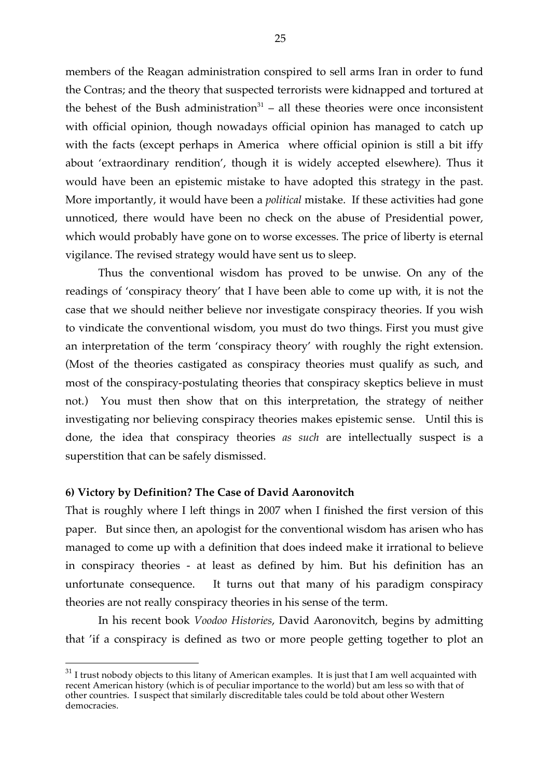members of the Reagan administration conspired to sell arms Iran in order to fund the Contras; and the theory that suspected terrorists were kidnapped and tortured at the behest of the Bush administration<sup>31</sup> – all these theories were once inconsistent with official opinion, though nowadays official opinion has managed to catch up with the facts (except perhaps in America where official opinion is still a bit iffy about 'extraordinary rendition', though it is widely accepted elsewhere). Thus it would have been an epistemic mistake to have adopted this strategy in the past. More importantly, it would have been a *political* mistake. If these activities had gone unnoticed, there would have been no check on the abuse of Presidential power, which would probably have gone on to worse excesses. The price of liberty is eternal vigilance. The revised strategy would have sent us to sleep.

Thus the conventional wisdom has proved to be unwise. On any of the readings of 'conspiracy theory' that I have been able to come up with, it is not the case that we should neither believe nor investigate conspiracy theories. If you wish to vindicate the conventional wisdom, you must do two things. First you must give an interpretation of the term 'conspiracy theory' with roughly the right extension. (Most of the theories castigated as conspiracy theories must qualify as such, and most of the conspiracy-postulating theories that conspiracy skeptics believe in must not.) You must then show that on this interpretation, the strategy of neither investigating nor believing conspiracy theories makes epistemic sense. Until this is done, the idea that conspiracy theories *as such* are intellectually suspect is a superstition that can be safely dismissed.

# **6) Victory by Definition? The Case of David Aaronovitch**

That is roughly where I left things in 2007 when I finished the first version of this paper. But since then, an apologist for the conventional wisdom has arisen who has managed to come up with a definition that does indeed make it irrational to believe in conspiracy theories - at least as defined by him. But his definition has an unfortunate consequence. It turns out that many of his paradigm conspiracy theories are not really conspiracy theories in his sense of the term.

In his recent book *Voodoo Histories*, David Aaronovitch, begins by admitting that 'if a conspiracy is defined as two or more people getting together to plot an

 $^{31}$  I trust nobody objects to this litany of American examples. It is just that I am well acquainted with recent American history (which is of peculiar importance to the world) but am less so with that of other countries. I suspect that similarly discreditable tales could be told about other Western democracies.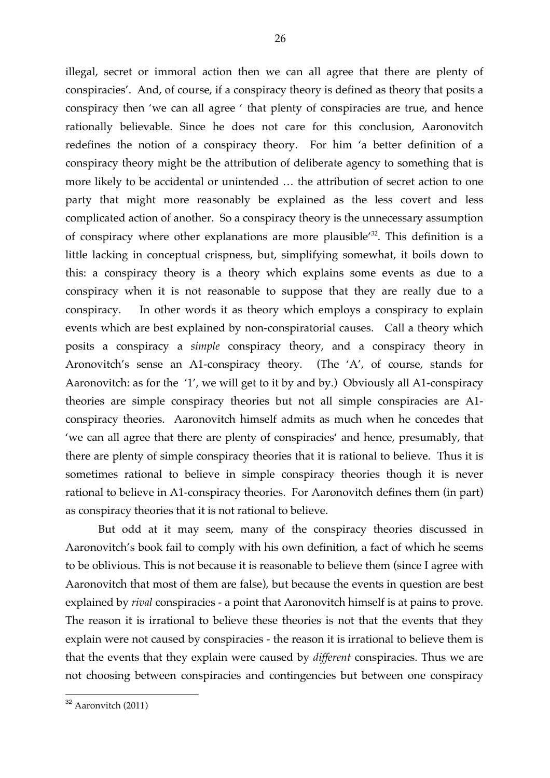illegal, secret or immoral action then we can all agree that there are plenty of conspiracies'. And, of course, if a conspiracy theory is defined as theory that posits a conspiracy then 'we can all agree ' that plenty of conspiracies are true, and hence rationally believable. Since he does not care for this conclusion, Aaronovitch redefines the notion of a conspiracy theory. For him 'a better definition of a conspiracy theory might be the attribution of deliberate agency to something that is more likely to be accidental or unintended … the attribution of secret action to one party that might more reasonably be explained as the less covert and less complicated action of another. So a conspiracy theory is the unnecessary assumption of conspiracy where other explanations are more plausible<sup>'32</sup>. This definition is a little lacking in conceptual crispness, but, simplifying somewhat, it boils down to this: a conspiracy theory is a theory which explains some events as due to a conspiracy when it is not reasonable to suppose that they are really due to a conspiracy. In other words it as theory which employs a conspiracy to explain events which are best explained by non-conspiratorial causes. Call a theory which posits a conspiracy a *simple* conspiracy theory, and a conspiracy theory in Aronovitch's sense an A1-conspiracy theory. (The 'A', of course, stands for Aaronovitch: as for the '1', we will get to it by and by.) Obviously all A1-conspiracy theories are simple conspiracy theories but not all simple conspiracies are A1 conspiracy theories. Aaronovitch himself admits as much when he concedes that 'we can all agree that there are plenty of conspiracies' and hence, presumably, that there are plenty of simple conspiracy theories that it is rational to believe. Thus it is sometimes rational to believe in simple conspiracy theories though it is never rational to believe in A1-conspiracy theories. For Aaronovitch defines them (in part) as conspiracy theories that it is not rational to believe.

But odd at it may seem, many of the conspiracy theories discussed in Aaronovitch's book fail to comply with his own definition, a fact of which he seems to be oblivious. This is not because it is reasonable to believe them (since I agree with Aaronovitch that most of them are false), but because the events in question are best explained by *rival* conspiracies - a point that Aaronovitch himself is at pains to prove. The reason it is irrational to believe these theories is not that the events that they explain were not caused by conspiracies - the reason it is irrational to believe them is that the events that they explain were caused by *different* conspiracies. Thus we are not choosing between conspiracies and contingencies but between one conspiracy

<sup>32</sup> Aaronvitch (2011)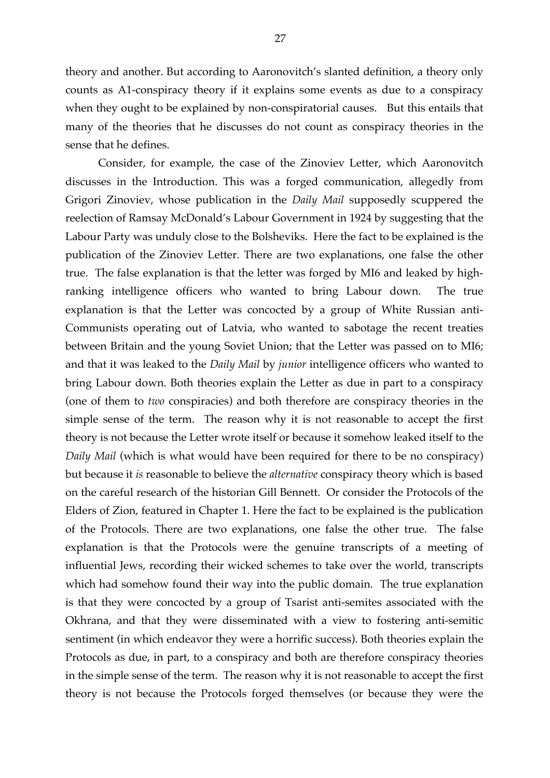theory and another. But according to Aaronovitch's slanted definition, a theory only counts as A1-conspiracy theory if it explains some events as due to a conspiracy when they ought to be explained by non-conspiratorial causes. But this entails that many of the theories that he discusses do not count as conspiracy theories in the sense that he defines.

Consider, for example, the case of the Zinoviev Letter, which Aaronovitch discusses in the Introduction. This was a forged communication, allegedly from Grigori Zinoviev, whose publication in the *Daily Mail* supposedly scuppered the reelection of Ramsay McDonald's Labour Government in 1924 by suggesting that the Labour Party was unduly close to the Bolsheviks. Here the fact to be explained is the publication of the Zinoviev Letter. There are two explanations, one false the other true. The false explanation is that the letter was forged by MI6 and leaked by highranking intelligence officers who wanted to bring Labour down. The true explanation is that the Letter was concocted by a group of White Russian anti-Communists operating out of Latvia, who wanted to sabotage the recent treaties between Britain and the young Soviet Union; that the Letter was passed on to MI6; and that it was leaked to the *Daily Mail* by *junior* intelligence officers who wanted to bring Labour down. Both theories explain the Letter as due in part to a conspiracy (one of them to *two* conspiracies) and both therefore are conspiracy theories in the simple sense of the term. The reason why it is not reasonable to accept the first theory is not because the Letter wrote itself or because it somehow leaked itself to the *Daily Mail* (which is what would have been required for there to be no conspiracy) but because it *is* reasonable to believe the *alternative* conspiracy theory which is based on the careful research of the historian Gill Bennett. Or consider the Protocols of the Elders of Zion, featured in Chapter 1. Here the fact to be explained is the publication of the Protocols. There are two explanations, one false the other true. The false explanation is that the Protocols were the genuine transcripts of a meeting of influential Jews, recording their wicked schemes to take over the world, transcripts which had somehow found their way into the public domain. The true explanation is that they were concocted by a group of Tsarist anti-semites associated with the Okhrana, and that they were disseminated with a view to fostering anti-semitic sentiment (in which endeavor they were a horrific success). Both theories explain the Protocols as due, in part, to a conspiracy and both are therefore conspiracy theories in the simple sense of the term. The reason why it is not reasonable to accept the first theory is not because the Protocols forged themselves (or because they were the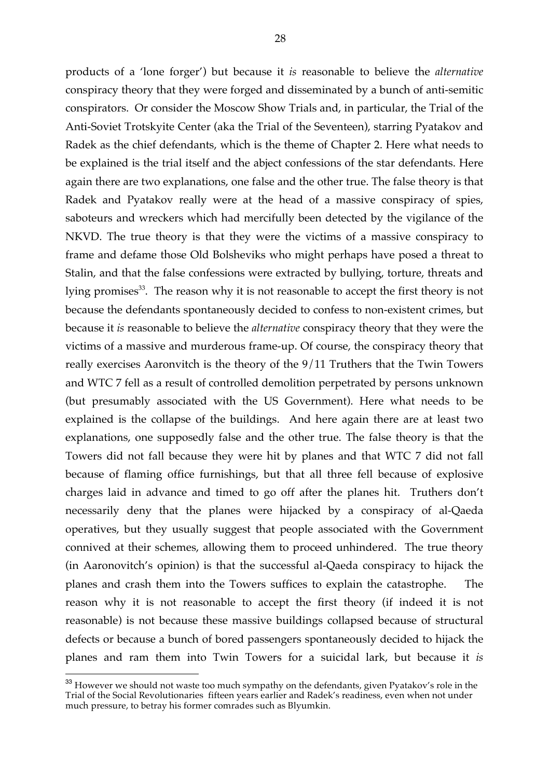products of a 'lone forger') but because it *is* reasonable to believe the *alternative*

conspiracy theory that they were forged and disseminated by a bunch of anti-semitic conspirators. Or consider the Moscow Show Trials and, in particular, the Trial of the Anti-Soviet Trotskyite Center (aka the Trial of the Seventeen), starring Pyatakov and Radek as the chief defendants, which is the theme of Chapter 2. Here what needs to be explained is the trial itself and the abject confessions of the star defendants. Here again there are two explanations, one false and the other true. The false theory is that Radek and Pyatakov really were at the head of a massive conspiracy of spies, saboteurs and wreckers which had mercifully been detected by the vigilance of the NKVD. The true theory is that they were the victims of a massive conspiracy to frame and defame those Old Bolsheviks who might perhaps have posed a threat to Stalin, and that the false confessions were extracted by bullying, torture, threats and lying promises<sup>33</sup>. The reason why it is not reasonable to accept the first theory is not because the defendants spontaneously decided to confess to non-existent crimes, but because it *is* reasonable to believe the *alternative* conspiracy theory that they were the victims of a massive and murderous frame-up. Of course, the conspiracy theory that really exercises Aaronvitch is the theory of the 9/11 Truthers that the Twin Towers and WTC 7 fell as a result of controlled demolition perpetrated by persons unknown (but presumably associated with the US Government). Here what needs to be explained is the collapse of the buildings. And here again there are at least two explanations, one supposedly false and the other true. The false theory is that the Towers did not fall because they were hit by planes and that WTC 7 did not fall because of flaming office furnishings, but that all three fell because of explosive charges laid in advance and timed to go off after the planes hit. Truthers don't necessarily deny that the planes were hijacked by a conspiracy of al-Qaeda operatives, but they usually suggest that people associated with the Government connived at their schemes, allowing them to proceed unhindered. The true theory (in Aaronovitch's opinion) is that the successful al-Qaeda conspiracy to hijack the planes and crash them into the Towers suffices to explain the catastrophe. The reason why it is not reasonable to accept the first theory (if indeed it is not reasonable) is not because these massive buildings collapsed because of structural defects or because a bunch of bored passengers spontaneously decided to hijack the planes and ram them into Twin Towers for a suicidal lark, but because it *is*

<sup>&</sup>lt;sup>33</sup> However we should not waste too much sympathy on the defendants, given Pyatakov's role in the Trial of the Social Revolutionaries fifteen years earlier and Radek's readiness, even when not under much pressure, to betray his former comrades such as Blyumkin.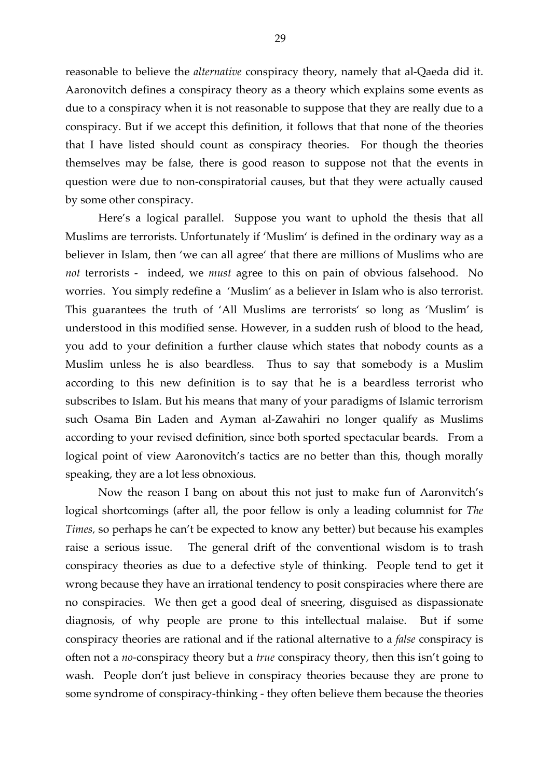reasonable to believe the *alternative* conspiracy theory, namely that al-Qaeda did it. Aaronovitch defines a conspiracy theory as a theory which explains some events as due to a conspiracy when it is not reasonable to suppose that they are really due to a conspiracy. But if we accept this definition, it follows that that none of the theories that I have listed should count as conspiracy theories. For though the theories themselves may be false, there is good reason to suppose not that the events in question were due to non-conspiratorial causes, but that they were actually caused by some other conspiracy.

Here's a logical parallel. Suppose you want to uphold the thesis that all Muslims are terrorists. Unfortunately if 'Muslim' is defined in the ordinary way as a believer in Islam, then 'we can all agree' that there are millions of Muslims who are *not* terrorists *-* indeed, we *must* agree to this on pain of obvious falsehood.No worries. You simply redefine a 'Muslim' as a believer in Islam who is also terrorist. This guarantees the truth of 'All Muslims are terrorists' so long as 'Muslim' is understood in this modified sense. However, in a sudden rush of blood to the head, you add to your definition a further clause which states that nobody counts as a Muslim unless he is also beardless. Thus to say that somebody is a Muslim according to this new definition is to say that he is a beardless terrorist who subscribes to Islam. But his means that many of your paradigms of Islamic terrorism such Osama Bin Laden and Ayman al-Zawahiri no longer qualify as Muslims according to your revised definition, since both sported spectacular beards. From a logical point of view Aaronovitch's tactics are no better than this, though morally speaking, they are a lot less obnoxious.

Now the reason I bang on about this not just to make fun of Aaronvitch's logical shortcomings (after all, the poor fellow is only a leading columnist for *The Times,* so perhaps he can't be expected to know any better) but because his examples raise a serious issue. The general drift of the conventional wisdom is to trash conspiracy theories as due to a defective style of thinking. People tend to get it wrong because they have an irrational tendency to posit conspiracies where there are no conspiracies. We then get a good deal of sneering, disguised as dispassionate diagnosis, of why people are prone to this intellectual malaise. But if some conspiracy theories are rational and if the rational alternative to a *false* conspiracy is often not a *no*-conspiracy theory but a *true* conspiracy theory, then this isn't going to wash. People don't just believe in conspiracy theories because they are prone to some syndrome of conspiracy-thinking - they often believe them because the theories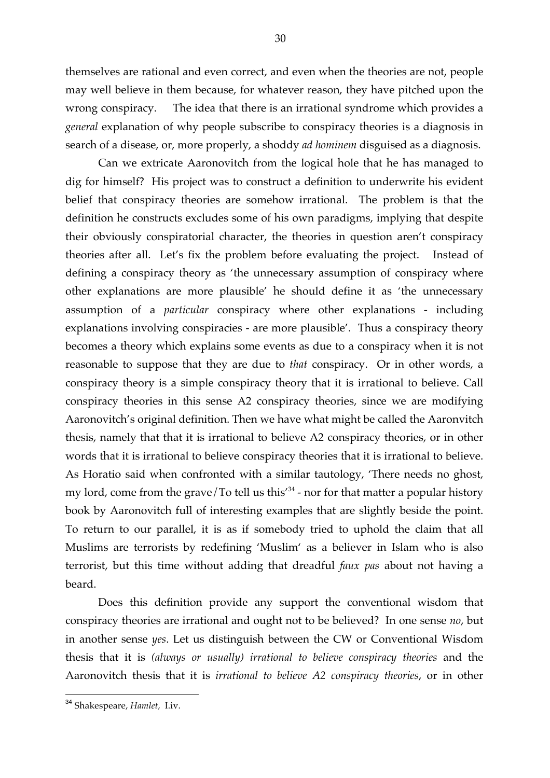themselves are rational and even correct, and even when the theories are not, people may well believe in them because, for whatever reason, they have pitched upon the wrong conspiracy. The idea that there is an irrational syndrome which provides a *general* explanation of why people subscribe to conspiracy theories is a diagnosis in search of a disease, or, more properly, a shoddy *ad hominem* disguised as a diagnosis.

Can we extricate Aaronovitch from the logical hole that he has managed to dig for himself? His project was to construct a definition to underwrite his evident belief that conspiracy theories are somehow irrational. The problem is that the definition he constructs excludes some of his own paradigms, implying that despite their obviously conspiratorial character, the theories in question aren't conspiracy theories after all. Let's fix the problem before evaluating the project. Instead of defining a conspiracy theory as 'the unnecessary assumption of conspiracy where other explanations are more plausible' he should define it as 'the unnecessary assumption of a *particular* conspiracy where other explanations - including explanations involving conspiracies - are more plausible'. Thus a conspiracy theory becomes a theory which explains some events as due to a conspiracy when it is not reasonable to suppose that they are due to *that* conspiracy. Or in other words, a conspiracy theory is a simple conspiracy theory that it is irrational to believe. Call conspiracy theories in this sense A2 conspiracy theories, since we are modifying Aaronovitch's original definition. Then we have what might be called the Aaronvitch thesis, namely that that it is irrational to believe A2 conspiracy theories, or in other words that it is irrational to believe conspiracy theories that it is irrational to believe. As Horatio said when confronted with a similar tautology, 'There needs no ghost, my lord, come from the grave/To tell us this<sup> $34$ </sup> - nor for that matter a popular history book by Aaronovitch full of interesting examples that are slightly beside the point. To return to our parallel, it is as if somebody tried to uphold the claim that all Muslims are terrorists by redefining 'Muslim' as a believer in Islam who is also terrorist, but this time without adding that dreadful *faux pas* about not having a beard.

Does this definition provide any support the conventional wisdom that conspiracy theories are irrational and ought not to be believed? In one sense *no*, but in another sense *yes*. Let us distinguish between the CW or Conventional Wisdom thesis that it is *(always or usually) irrational to believe conspiracy theories* and the Aaronovitch thesis that it is *irrational to believe A2 conspiracy theories*, or in other

<sup>34</sup> Shakespeare, *Hamlet,* I.iv.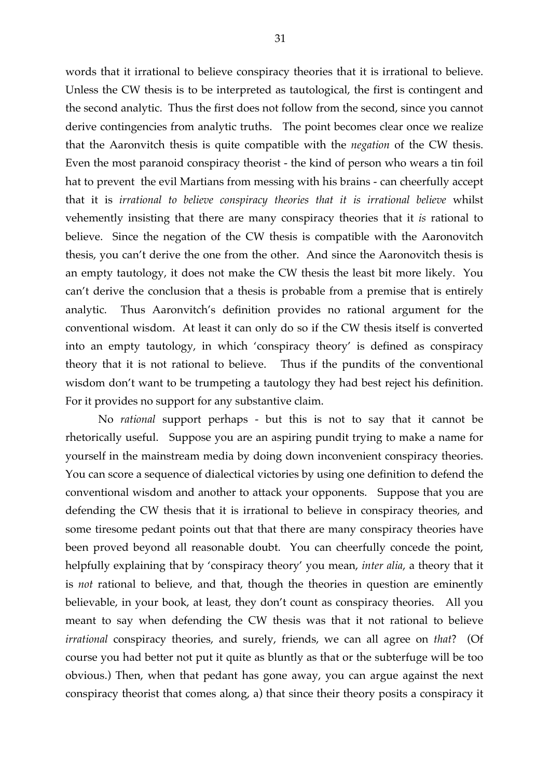words that it irrational to believe conspiracy theories that it is irrational to believe. Unless the CW thesis is to be interpreted as tautological, the first is contingent and the second analytic. Thus the first does not follow from the second, since you cannot derive contingencies from analytic truths. The point becomes clear once we realize that the Aaronvitch thesis is quite compatible with the *negation* of the CW thesis. Even the most paranoid conspiracy theorist - the kind of person who wears a tin foil hat to prevent the evil Martians from messing with his brains - can cheerfully accept that it is *irrational to believe conspiracy theories that it is irrational believe* whilst vehemently insisting that there are many conspiracy theories that it *is* rational to believe. Since the negation of the CW thesis is compatible with the Aaronovitch thesis, you can't derive the one from the other. And since the Aaronovitch thesis is an empty tautology, it does not make the CW thesis the least bit more likely. You can't derive the conclusion that a thesis is probable from a premise that is entirely analytic. Thus Aaronvitch's definition provides no rational argument for the conventional wisdom. At least it can only do so if the CW thesis itself is converted into an empty tautology, in which 'conspiracy theory' is defined as conspiracy theory that it is not rational to believe. Thus if the pundits of the conventional wisdom don't want to be trumpeting a tautology they had best reject his definition. For it provides no support for any substantive claim.

No *rational* support perhaps - but this is not to say that it cannot be rhetorically useful. Suppose you are an aspiring pundit trying to make a name for yourself in the mainstream media by doing down inconvenient conspiracy theories. You can score a sequence of dialectical victories by using one definition to defend the conventional wisdom and another to attack your opponents. Suppose that you are defending the CW thesis that it is irrational to believe in conspiracy theories, and some tiresome pedant points out that that there are many conspiracy theories have been proved beyond all reasonable doubt. You can cheerfully concede the point, helpfully explaining that by 'conspiracy theory' you mean, *inter alia*, a theory that it is *not* rational to believe, and that, though the theories in question are eminently believable, in your book, at least, they don't count as conspiracy theories. All you meant to say when defending the CW thesis was that it not rational to believe *irrational* conspiracy theories, and surely, friends, we can all agree on *that*? (Of course you had better not put it quite as bluntly as that or the subterfuge will be too obvious.) Then, when that pedant has gone away, you can argue against the next conspiracy theorist that comes along, a) that since their theory posits a conspiracy it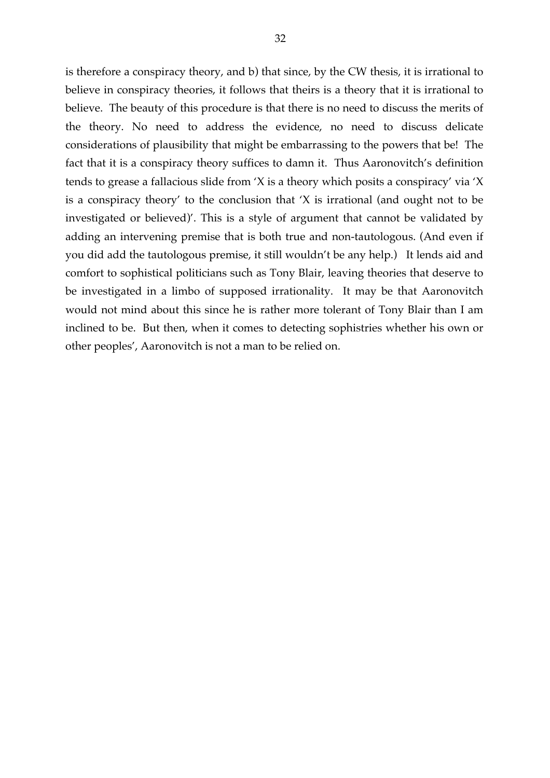is therefore a conspiracy theory, and b) that since, by the CW thesis, it is irrational to believe in conspiracy theories, it follows that theirs is a theory that it is irrational to believe. The beauty of this procedure is that there is no need to discuss the merits of the theory. No need to address the evidence, no need to discuss delicate considerations of plausibility that might be embarrassing to the powers that be! The fact that it is a conspiracy theory suffices to damn it. Thus Aaronovitch's definition tends to grease a fallacious slide from 'X is a theory which posits a conspiracy' via 'X is a conspiracy theory' to the conclusion that 'X is irrational (and ought not to be investigated or believed)'. This is a style of argument that cannot be validated by adding an intervening premise that is both true and non-tautologous. (And even if you did add the tautologous premise, it still wouldn't be any help.) It lends aid and comfort to sophistical politicians such as Tony Blair, leaving theories that deserve to be investigated in a limbo of supposed irrationality. It may be that Aaronovitch would not mind about this since he is rather more tolerant of Tony Blair than I am inclined to be. But then, when it comes to detecting sophistries whether his own or other peoples', Aaronovitch is not a man to be relied on.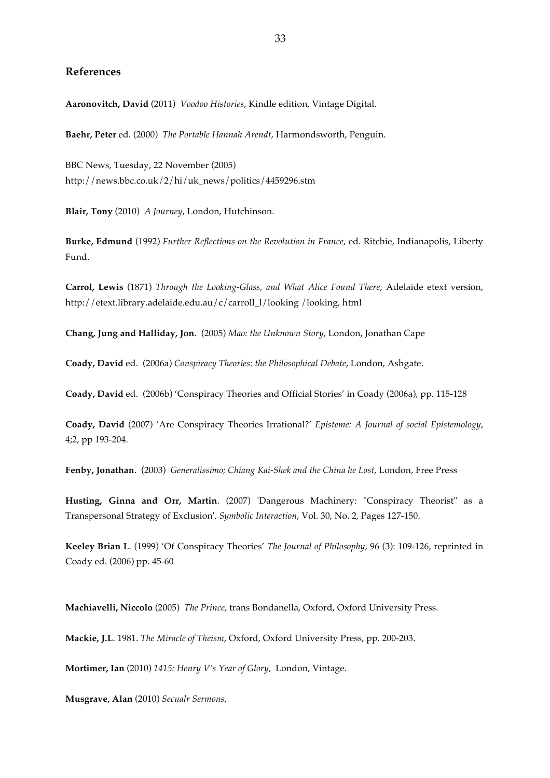#### **References**

**Aaronovitch, David** (2011) *Voodoo Histories*, Kindle edition, Vintage Digital.

**Baehr, Peter** ed. (2000) *The Portable Hannah Arendt*, Harmondsworth, Penguin.

BBC News, Tuesday, 22 November (2005) http://news.bbc.co.uk/2/hi/uk\_news/politics/4459296.stm

**Blair, Tony** (2010) *A Journey*, London, Hutchinson.

**Burke, Edmund** (1992) *Further Reflections on the Revolution in France*, ed. Ritchie, Indianapolis, Liberty Fund.

**Carrol, Lewis** (1871) *Through the Looking-Glass, and What Alice Found There*, Adelaide etext version, http://etext.library.adelaide.edu.au/c/carroll\_l/looking /looking, html

**Chang, Jung and Halliday, Jon**. (2005) *Mao: the Unknown Story*, London, Jonathan Cape

**Coady, David** ed. (2006a) *Conspiracy Theories: the Philosophical Debate*, London, Ashgate.

**Coady, David** ed. (2006b) 'Conspiracy Theories and Official Stories' in Coady (2006a), pp. 115-128

**Coady, David** (2007) 'Are Conspiracy Theories Irrational?' *Episteme: A Journal of social Epistemology*, 4;2, pp 193-204.

**Fenby, Jonathan**. (2003) *Generalissimo; Chiang Kai-Shek and the China he Lost*, London, Free Press

**Husting, Ginna and Orr, Martin**. (2007) 'Dangerous Machinery: "Conspiracy Theorist" as a Transpersonal Strategy of Exclusion'*, Symbolic Interaction*, Vol. 30, No. 2, Pages 127-150.

**Keeley Brian L**. (1999) 'Of Conspiracy Theories' *The Journal of Philosophy*, 96 (3): 109-126, reprinted in Coady ed. (2006) pp. 45-60

**Machiavelli, Niccolo** (2005) *The Prince*, trans Bondanella, Oxford, Oxford University Press.

**Mackie, J.L**. 1981. *The Miracle of Theism*, Oxford, Oxford University Press, pp. 200-203.

**Mortimer, Ian** (2010) *1415: Henry V's Year of Glory*, London, Vintage.

**Musgrave, Alan** (2010) *Secualr Sermons*,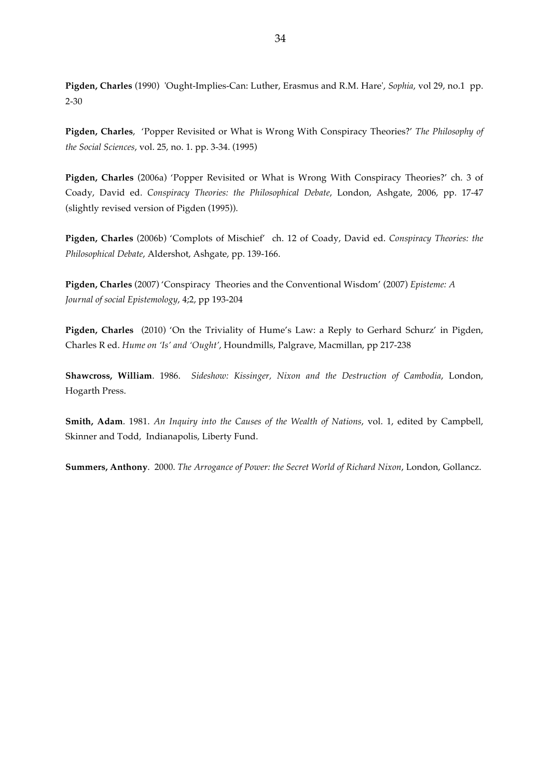**Pigden, Charles** (1990) 'Ought-Implies-Can: Luther, Erasmus and R.M. Hare', *Sophia*, vol 29, no.1 pp. 2-30

**Pigden, Charles**, 'Popper Revisited or What is Wrong With Conspiracy Theories?' *The Philosophy of the Social Sciences*, vol. 25, no. 1. pp. 3-34. (1995)

**Pigden, Charles** (2006a) 'Popper Revisited or What is Wrong With Conspiracy Theories?' ch. 3 of Coady, David ed. *Conspiracy Theories: the Philosophical Debate*, London, Ashgate, 2006, pp. 17-47 (slightly revised version of Pigden (1995)).

**Pigden, Charles** (2006b) 'Complots of Mischief' ch. 12 of Coady, David ed. *Conspiracy Theories: the Philosophical Debate*, Aldershot, Ashgate, pp. 139-166.

**Pigden, Charles** (2007) 'Conspiracy Theories and the Conventional Wisdom' (2007) *Episteme: A Journal of social Epistemology*, 4;2, pp 193-204

**Pigden, Charles** (2010) 'On the Triviality of Hume's Law: a Reply to Gerhard Schurz' in Pigden, Charles R ed. *Hume on 'Is' and 'Ought'*, Houndmills, Palgrave, Macmillan, pp 217-238

**Shawcross, William**. 1986. *Sideshow: Kissinger, Nixon and the Destruction of Cambodia*, London, Hogarth Press.

**Smith, Adam**. 1981. *An Inquiry into the Causes of the Wealth of Nations*, vol. 1, edited by Campbell, Skinner and Todd, Indianapolis, Liberty Fund.

**Summers, Anthony**. 2000. *The Arrogance of Power: the Secret World of Richard Nixon*, London, Gollancz.